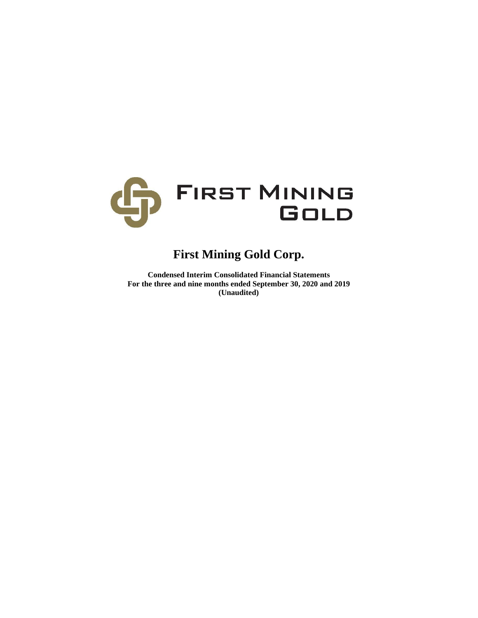

# **First Mining Gold Corp.**

**Condensed Interim Consolidated Financial Statements For the three and nine months ended September 30, 2020 and 2019 (Unaudited)**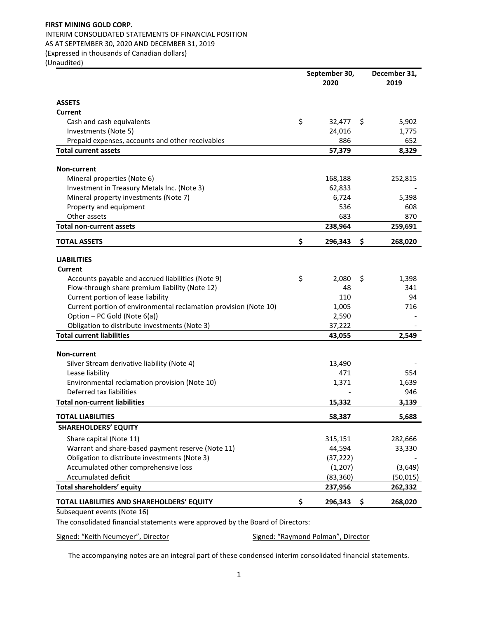## INTERIM CONSOLIDATED STATEMENTS OF FINANCIAL POSITION AS AT SEPTEMBER 30, 2020 AND DECEMBER 31, 2019

(Expressed in thousands of Canadian dollars)

(Unaudited)

|                                                                  | September 30, | December 31, |           |
|------------------------------------------------------------------|---------------|--------------|-----------|
|                                                                  | 2020          |              | 2019      |
| <b>ASSETS</b>                                                    |               |              |           |
| Current                                                          |               |              |           |
| Cash and cash equivalents                                        | \$<br>32,477  | \$           | 5,902     |
| Investments (Note 5)                                             | 24,016        |              | 1,775     |
| Prepaid expenses, accounts and other receivables                 | 886           |              | 652       |
| <b>Total current assets</b>                                      | 57,379        |              | 8,329     |
|                                                                  |               |              |           |
| Non-current                                                      |               |              |           |
| Mineral properties (Note 6)                                      | 168,188       |              | 252,815   |
| Investment in Treasury Metals Inc. (Note 3)                      | 62,833        |              |           |
| Mineral property investments (Note 7)                            | 6,724         |              | 5,398     |
| Property and equipment                                           | 536           |              | 608       |
| Other assets                                                     | 683           |              | 870       |
| <b>Total non-current assets</b>                                  | 238,964       |              | 259,691   |
| <b>TOTAL ASSETS</b>                                              | \$<br>296,343 | \$           | 268,020   |
| <b>LIABILITIES</b>                                               |               |              |           |
| Current                                                          |               |              |           |
| Accounts payable and accrued liabilities (Note 9)                | \$<br>2,080   | \$           | 1,398     |
| Flow-through share premium liability (Note 12)                   | 48            |              | 341       |
| Current portion of lease liability                               | 110           |              | 94        |
| Current portion of environmental reclamation provision (Note 10) | 1,005         |              | 716       |
| Option - PC Gold (Note 6(a))                                     | 2,590         |              |           |
| Obligation to distribute investments (Note 3)                    | 37,222        |              |           |
| <b>Total current liabilities</b>                                 | 43,055        |              | 2,549     |
|                                                                  |               |              |           |
| <b>Non-current</b>                                               |               |              |           |
| Silver Stream derivative liability (Note 4)                      | 13,490        |              |           |
| Lease liability                                                  | 471           |              | 554       |
| Environmental reclamation provision (Note 10)                    | 1,371         |              | 1,639     |
| Deferred tax liabilities                                         |               |              | 946       |
| <b>Total non-current liabilities</b>                             | 15,332        |              | 3,139     |
| TOTAL LIABILITIES                                                | 58,387        |              | 5,688     |
| <b>SHAREHOLDERS' EQUITY</b>                                      |               |              |           |
| Share capital (Note 11)                                          | 315,151       |              | 282,666   |
| Warrant and share-based payment reserve (Note 11)                | 44,594        |              | 33,330    |
| Obligation to distribute investments (Note 3)                    | (37, 222)     |              |           |
| Accumulated other comprehensive loss                             | (1, 207)      |              | (3,649)   |
| <b>Accumulated deficit</b>                                       | (83, 360)     |              | (50, 015) |
| Total shareholders' equity                                       | 237,956       |              | 262,332   |
| TOTAL LIABILITIES AND SHAREHOLDERS' EQUITY                       | \$<br>296,343 | \$           | 268,020   |
| Subsequent events (Note 16)                                      |               |              |           |

The consolidated financial statements were approved by the Board of Directors:

Signed: "Keith Neumeyer", Director Signed: "Raymond Polman", Director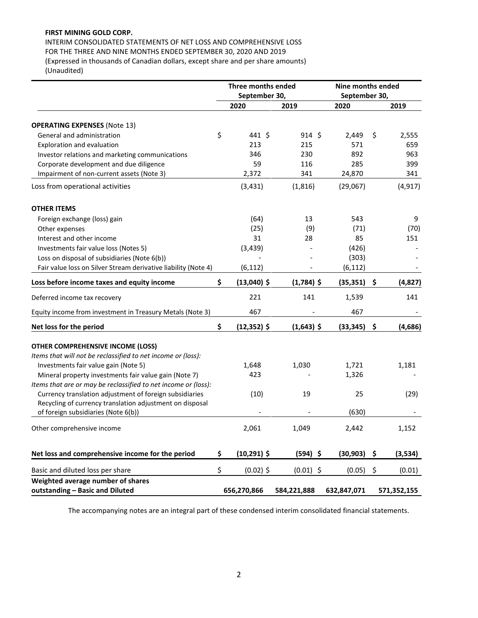INTERIM CONSOLIDATED STATEMENTS OF NET LOSS AND COMPREHENSIVE LOSS FOR THE THREE AND NINE MONTHS ENDED SEPTEMBER 30, 2020 AND 2019 (Expressed in thousands of Canadian dollars, except share and per share amounts)

(Unaudited)

|                                                                | Three months ended   |                 |             | Nine months ended |             |  |  |
|----------------------------------------------------------------|----------------------|-----------------|-------------|-------------------|-------------|--|--|
|                                                                | September 30,        | September 30,   |             |                   |             |  |  |
|                                                                | 2020                 | 2019            | 2020        |                   | 2019        |  |  |
| <b>OPERATING EXPENSES (Note 13)</b>                            |                      |                 |             |                   |             |  |  |
| General and administration                                     | \$<br>441 \$         | $914 \text{ }5$ | 2,449       | \$                | 2,555       |  |  |
| Exploration and evaluation                                     | 213                  | 215             | 571         |                   | 659         |  |  |
| Investor relations and marketing communications                | 346                  | 230             | 892         |                   | 963         |  |  |
| Corporate development and due diligence                        | 59                   | 116             | 285         |                   | 399         |  |  |
| Impairment of non-current assets (Note 3)                      | 2,372                | 341             | 24,870      |                   | 341         |  |  |
| Loss from operational activities                               | (3, 431)             | (1, 816)        | (29,067)    |                   | (4, 917)    |  |  |
| <b>OTHER ITEMS</b>                                             |                      |                 |             |                   |             |  |  |
| Foreign exchange (loss) gain                                   | (64)                 | 13              | 543         |                   | 9           |  |  |
| Other expenses                                                 | (25)                 | (9)             | (71)        |                   | (70)        |  |  |
| Interest and other income                                      | 31                   | 28              | 85          |                   | 151         |  |  |
| Investments fair value loss (Notes 5)                          | (3, 439)             |                 | (426)       |                   |             |  |  |
| Loss on disposal of subsidiaries (Note 6(b))                   |                      |                 | (303)       |                   |             |  |  |
|                                                                |                      |                 |             |                   |             |  |  |
| Fair value loss on Silver Stream derivative liability (Note 4) | (6, 112)             |                 | (6, 112)    |                   |             |  |  |
| Loss before income taxes and equity income                     | \$<br>(13,040) \$    | $(1,784)$ \$    | (35, 351)   | \$                | (4,827)     |  |  |
| Deferred income tax recovery                                   | 221                  | 141             | 1,539       |                   | 141         |  |  |
| Equity income from investment in Treasury Metals (Note 3)      | 467                  |                 | 467         |                   |             |  |  |
| Net loss for the period                                        | \$<br>$(12, 352)$ \$ | $(1,643)$ \$    | (33, 345)   | \$                | (4,686)     |  |  |
| <b>OTHER COMPREHENSIVE INCOME (LOSS)</b>                       |                      |                 |             |                   |             |  |  |
| Items that will not be reclassified to net income or (loss):   |                      |                 |             |                   |             |  |  |
| Investments fair value gain (Note 5)                           | 1,648                | 1,030           | 1,721       |                   | 1,181       |  |  |
| Mineral property investments fair value gain (Note 7)          | 423                  |                 | 1,326       |                   |             |  |  |
| Items that are or may be reclassified to net income or (loss): |                      |                 |             |                   |             |  |  |
| Currency translation adjustment of foreign subsidiaries        | (10)                 | 19              | 25          |                   | (29)        |  |  |
| Recycling of currency translation adjustment on disposal       |                      |                 |             |                   |             |  |  |
| of foreign subsidiaries (Note 6(b))                            |                      |                 | (630)       |                   |             |  |  |
| Other comprehensive income                                     | 2,061                | 1,049           | 2,442       |                   | 1,152       |  |  |
|                                                                |                      |                 |             |                   |             |  |  |
| Net loss and comprehensive income for the period               | \$<br>$(10, 291)$ \$ | $(594)$ \$      | (30, 903)   | - \$              | (3,534)     |  |  |
| Basic and diluted loss per share                               | \$<br>$(0.02)$ \$    | $(0.01)$ \$     | (0.05)      | \$                | (0.01)      |  |  |
| Weighted average number of shares                              |                      |                 |             |                   |             |  |  |
| outstanding - Basic and Diluted                                | 656,270,866          | 584,221,888     | 632,847,071 |                   | 571,352,155 |  |  |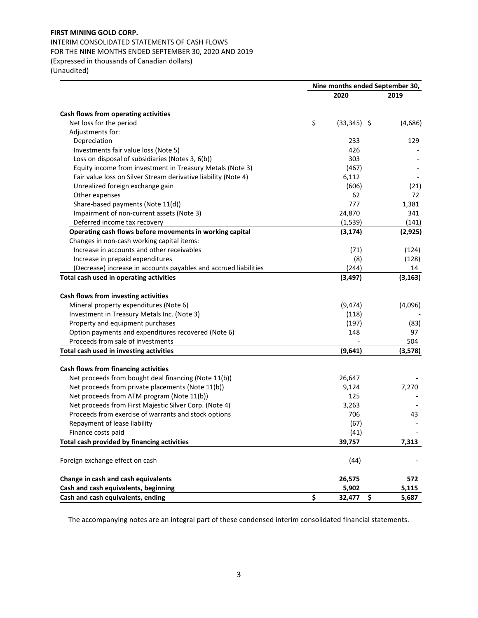INTERIM CONSOLIDATED STATEMENTS OF CASH FLOWS FOR THE NINE MONTHS ENDED SEPTEMBER 30, 2020 AND 2019 (Expressed in thousands of Canadian dollars) (Unaudited)

 **Nine months ended September 30, 2020 2019 Cash flows from operating activities** Net loss for the period  $(33,345)$  \$  $(4,686)$ Adjustments for: Depreciation 233 129 Investments fair value loss (Note 5) 426 Loss on disposal of subsidiaries (Notes 3, 6(b)) 303 Equity income from investment in Treasury Metals (Note 3) (467) - Fair value loss on Silver Stream derivative liability (Note 4) 6,112 Unrealized foreign exchange gain and the set of the set of the set of the set of the set of the set of the set of the set of the set of the set of the set of the set of the set of the set of the set of the set of the set o Other expenses 62 72 Share-based payments (Note 11(d)) 381 and 50 and 50 and 50 and 50 and 50 and 50 and 50 and 50 and 50 and 50 and 50 and 50 and 50 and 50 and 50 and 50 and 50 and 50 and 50 and 50 and 50 and 50 and 50 and 50 and 50 and 50 an Impairment of non-current assets (Note 3) 24,870 341 Deferred income tax recovery (1,539) (141) **Operating cash flows before movements in working capital (3,174) (2,925)** Changes in non-cash working capital items: Increase in accounts and other receivables (71) (124) Increase in prepaid expenditures (8) (128) (Decrease) increase in accounts payables and accrued liabilities (244) 14 **Total cash used in operating activities (3,497) (3,163) Cash flows from investing activities** Mineral property expenditures (Note 6) (9,474) (4,096) Investment in Treasury Metals Inc. (Note 3) (118) Property and equipment purchases (197) (83) Option payments and expenditures recovered (Note 6) 148 148 97 Proceeds from sale of investments and the set of investments of the set of the set of the set of the set of the set of the set of the set of the set of the set of the set of the set of the set of the set of the set of the **Total cash used in investing activities (9,641) (3,578) Cash flows from financing activities** Net proceeds from bought deal financing (Note 11(b)) 26,647 Net proceeds from private placements (Note 11(b)) 8,124 7,270 Net proceeds from ATM program (Note 11(b)) 125 and 125 and 125 and 125 and 125 and 125 and 125 and 125 and 125 and 125 and 125 and 125 and 127 and 128 and 128 and 128 and 128 and 128 and 128 and 128 and 128 and 128 and 128 Net proceeds from First Majestic Silver Corp. (Note 4) 3,263 Proceeds from exercise of warrants and stock options Theorem 2008 100 43 Repayment of lease liability and the control of lease liability and the control of lease is a set of lease is  $(67)$ Finance costs paid (41)  $(41)$ **Total cash provided by financing activities 39,757 7,313** Foreign exchange effect on cash (44) -  $\sim$  144) **Change in cash and cash equivalents 26,575 572 Cash and cash equivalents, beginning 5,902 5,115 Cash and cash equivalents, ending \$ 32,477 \$ 5,687**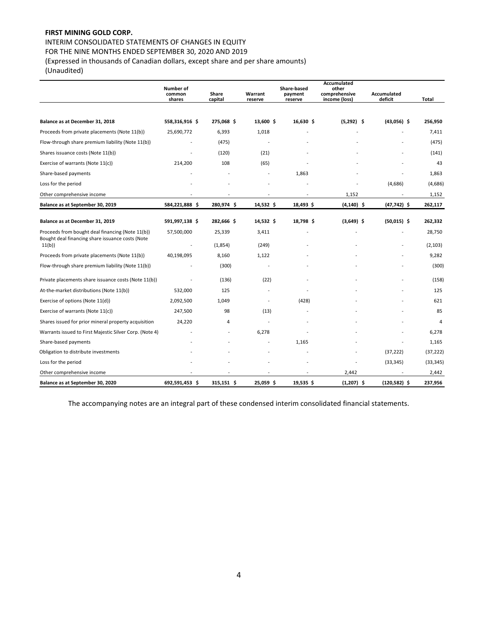INTERIM CONSOLIDATED STATEMENTS OF CHANGES IN EQUITY

FOR THE NINE MONTHS ENDED SEPTEMBER 30, 2020 AND 2019

(Expressed in thousands of Canadian dollars, except share and per share amounts)

(Unaudited)

|                                                                                                      | Number of<br>common<br>shares | Share<br>capital | Warrant<br>reserve       | Share-based<br>payment<br>reserve | <b>Accumulated</b><br>other<br>comprehensive<br>income (loss) | <b>Accumulated</b><br>deficit | Total     |
|------------------------------------------------------------------------------------------------------|-------------------------------|------------------|--------------------------|-----------------------------------|---------------------------------------------------------------|-------------------------------|-----------|
|                                                                                                      |                               |                  |                          |                                   |                                                               |                               |           |
| Balance as at December 31, 2018                                                                      | 558,316,916 \$                | 275,068 \$       | 13,600 \$                | $16,630$ \$                       | $(5,292)$ \$                                                  | $(43,056)$ \$                 | 256,950   |
| Proceeds from private placements (Note 11(b))                                                        | 25,690,772                    | 6,393            | 1,018                    |                                   |                                                               |                               | 7,411     |
| Flow-through share premium liability (Note 11(b))                                                    |                               | (475)            |                          |                                   |                                                               |                               | (475)     |
| Shares issuance costs (Note 11(b))                                                                   |                               | (120)            | (21)                     |                                   |                                                               |                               | (141)     |
| Exercise of warrants (Note 11(c))                                                                    | 214,200                       | 108              | (65)                     |                                   |                                                               |                               | 43        |
| Share-based payments                                                                                 |                               |                  | $\overline{\phantom{a}}$ | 1,863                             |                                                               |                               | 1,863     |
| Loss for the period                                                                                  |                               |                  |                          |                                   |                                                               | (4,686)                       | (4,686)   |
| Other comprehensive income                                                                           |                               |                  |                          |                                   | 1,152                                                         |                               | 1,152     |
| Balance as at September 30, 2019                                                                     | 584,221,888 \$                | 280,974 \$       | $14,532$ \$              | 18,493\$                          | $(4, 140)$ \$                                                 | $(47, 742)$ \$                | 262,117   |
|                                                                                                      |                               |                  |                          |                                   |                                                               |                               |           |
| Balance as at December 31, 2019                                                                      | 591,997,138 \$                | 282,666 \$       | $14,532$ \$              | 18,798\$                          | $(3,649)$ \$                                                  | $(50,015)$ \$                 | 262,332   |
| Proceeds from bought deal financing (Note 11(b))<br>Bought deal financing share issuance costs (Note | 57,500,000                    | 25,339           | 3,411                    |                                   |                                                               |                               | 28,750    |
| 11(b)                                                                                                |                               | (1,854)          | (249)                    |                                   |                                                               |                               | (2, 103)  |
| Proceeds from private placements (Note 11(b))                                                        | 40,198,095                    | 8,160            | 1,122                    |                                   |                                                               |                               | 9,282     |
| Flow-through share premium liability (Note 11(b))                                                    |                               | (300)            |                          |                                   |                                                               |                               | (300)     |
| Private placements share issuance costs (Note 11(b))                                                 |                               | (136)            | (22)                     |                                   |                                                               |                               | (158)     |
| At-the-market distributions (Note 11(b))                                                             | 532,000                       | 125              |                          |                                   |                                                               |                               | 125       |
| Exercise of options (Note 11(d))                                                                     | 2,092,500                     | 1,049            | $\sim$                   | (428)                             |                                                               |                               | 621       |
| Exercise of warrants (Note 11(c))                                                                    | 247,500                       | 98               | (13)                     |                                   |                                                               |                               | 85        |
| Shares issued for prior mineral property acquisition                                                 | 24,220                        | 4                |                          |                                   |                                                               |                               | 4         |
| Warrants issued to First Majestic Silver Corp. (Note 4)                                              |                               |                  | 6,278                    |                                   |                                                               |                               | 6,278     |
| Share-based payments                                                                                 |                               |                  |                          | 1,165                             |                                                               |                               | 1,165     |
| Obligation to distribute investments                                                                 |                               |                  |                          |                                   |                                                               | (37, 222)                     | (37, 222) |
| Loss for the period                                                                                  |                               |                  |                          |                                   |                                                               | (33, 345)                     | (33, 345) |
| Other comprehensive income                                                                           |                               |                  |                          |                                   | 2,442                                                         |                               | 2,442     |
| Balance as at September 30, 2020                                                                     | 692,591,453 \$                | 315,151 \$       | 25,059 \$                | 19,535 \$                         | $(1,207)$ \$                                                  | $(120, 582)$ \$               | 237,956   |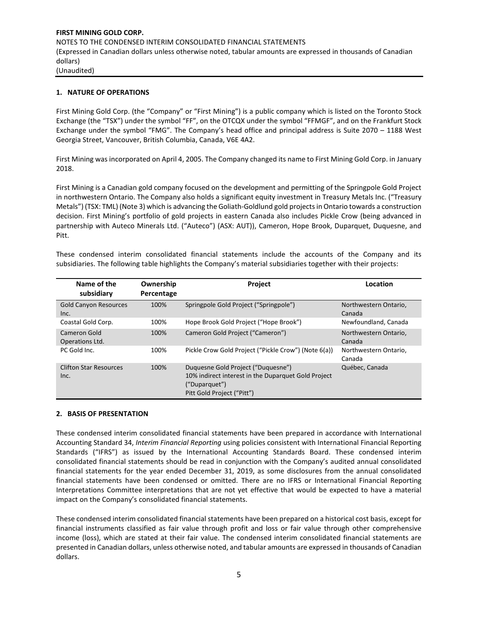## **1. NATURE OF OPERATIONS**

First Mining Gold Corp. (the "Company" or "First Mining") is a public company which is listed on the Toronto Stock Exchange (the "TSX") under the symbol "FF", on the OTCQX under the symbol "FFMGF", and on the Frankfurt Stock Exchange under the symbol "FMG". The Company's head office and principal address is Suite 2070 – 1188 West Georgia Street, Vancouver, British Columbia, Canada, V6E 4A2.

First Mining was incorporated on April 4, 2005. The Company changed its name to First Mining Gold Corp. in January 2018.

First Mining is a Canadian gold company focused on the development and permitting of the Springpole Gold Project in northwestern Ontario. The Company also holds a significant equity investment in Treasury Metals Inc. ("Treasury Metals") (TSX: TML) (Note 3) which is advancing the Goliath-Goldlund gold projects in Ontario towards a construction decision. First Mining's portfolio of gold projects in eastern Canada also includes Pickle Crow (being advanced in partnership with Auteco Minerals Ltd. ("Auteco") (ASX: AUT)), Cameron, Hope Brook, Duparquet, Duquesne, and Pitt.

These condensed interim consolidated financial statements include the accounts of the Company and its subsidiaries. The following table highlights the Company's material subsidiaries together with their projects:

| Name of the<br>subsidiary             | Ownership<br>Percentage | Project                                                                                                                                  | Location                        |
|---------------------------------------|-------------------------|------------------------------------------------------------------------------------------------------------------------------------------|---------------------------------|
| <b>Gold Canyon Resources</b><br>Inc.  | 100%                    | Springpole Gold Project ("Springpole")                                                                                                   | Northwestern Ontario,<br>Canada |
| Coastal Gold Corp.                    | 100%                    | Hope Brook Gold Project ("Hope Brook")                                                                                                   | Newfoundland, Canada            |
| Cameron Gold<br>Operations Ltd.       | 100%                    | Cameron Gold Project ("Cameron")                                                                                                         | Northwestern Ontario,<br>Canada |
| PC Gold Inc.                          | 100%                    | Pickle Crow Gold Project ("Pickle Crow") (Note 6(a))                                                                                     | Northwestern Ontario,<br>Canada |
| <b>Clifton Star Resources</b><br>Inc. | 100%                    | Duquesne Gold Project ("Duquesne")<br>10% indirect interest in the Duparquet Gold Project<br>("Duparquet")<br>Pitt Gold Project ("Pitt") | Québec, Canada                  |

#### **2. BASIS OF PRESENTATION**

These condensed interim consolidated financial statements have been prepared in accordance with International Accounting Standard 34, *Interim Financial Reporting* using policies consistent with International Financial Reporting Standards ("IFRS") as issued by the International Accounting Standards Board. These condensed interim consolidated financial statements should be read in conjunction with the Company's audited annual consolidated financial statements for the year ended December 31, 2019, as some disclosures from the annual consolidated financial statements have been condensed or omitted. There are no IFRS or International Financial Reporting Interpretations Committee interpretations that are not yet effective that would be expected to have a material impact on the Company's consolidated financial statements.

These condensed interim consolidated financial statements have been prepared on a historical cost basis, except for financial instruments classified as fair value through profit and loss or fair value through other comprehensive income (loss), which are stated at their fair value. The condensed interim consolidated financial statements are presented in Canadian dollars, unless otherwise noted, and tabular amounts are expressed in thousands of Canadian dollars.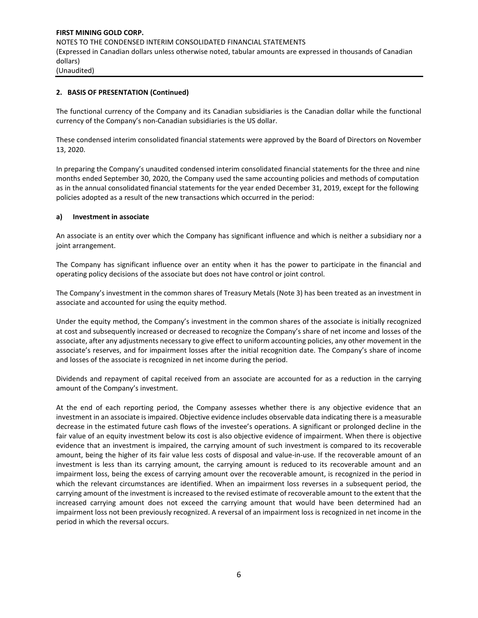## **2. BASIS OF PRESENTATION (Continued)**

The functional currency of the Company and its Canadian subsidiaries is the Canadian dollar while the functional currency of the Company's non-Canadian subsidiaries is the US dollar.

These condensed interim consolidated financial statements were approved by the Board of Directors on November 13, 2020.

In preparing the Company's unaudited condensed interim consolidated financial statements for the three and nine months ended September 30, 2020, the Company used the same accounting policies and methods of computation as in the annual consolidated financial statements for the year ended December 31, 2019, except for the following policies adopted as a result of the new transactions which occurred in the period:

## **a) Investment in associate**

An associate is an entity over which the Company has significant influence and which is neither a subsidiary nor a joint arrangement.

The Company has significant influence over an entity when it has the power to participate in the financial and operating policy decisions of the associate but does not have control or joint control.

The Company's investment in the common shares of Treasury Metals (Note 3) has been treated as an investment in associate and accounted for using the equity method.

Under the equity method, the Company's investment in the common shares of the associate is initially recognized at cost and subsequently increased or decreased to recognize the Company's share of net income and losses of the associate, after any adjustments necessary to give effect to uniform accounting policies, any other movement in the associate's reserves, and for impairment losses after the initial recognition date. The Company's share of income and losses of the associate is recognized in net income during the period.

Dividends and repayment of capital received from an associate are accounted for as a reduction in the carrying amount of the Company's investment.

At the end of each reporting period, the Company assesses whether there is any objective evidence that an investment in an associate is impaired. Objective evidence includes observable data indicating there is a measurable decrease in the estimated future cash flows of the investee's operations. A significant or prolonged decline in the fair value of an equity investment below its cost is also objective evidence of impairment. When there is objective evidence that an investment is impaired, the carrying amount of such investment is compared to its recoverable amount, being the higher of its fair value less costs of disposal and value-in-use. If the recoverable amount of an investment is less than its carrying amount, the carrying amount is reduced to its recoverable amount and an impairment loss, being the excess of carrying amount over the recoverable amount, is recognized in the period in which the relevant circumstances are identified. When an impairment loss reverses in a subsequent period, the carrying amount of the investment is increased to the revised estimate of recoverable amount to the extent that the increased carrying amount does not exceed the carrying amount that would have been determined had an impairment loss not been previously recognized. A reversal of an impairment loss is recognized in net income in the period in which the reversal occurs.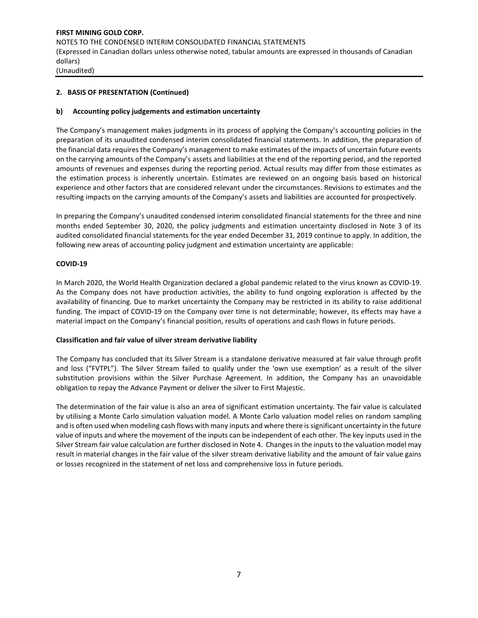## **2. BASIS OF PRESENTATION (Continued)**

## **b) Accounting policy judgements and estimation uncertainty**

The Company's management makes judgments in its process of applying the Company's accounting policies in the preparation of its unaudited condensed interim consolidated financial statements. In addition, the preparation of the financial data requires the Company's management to make estimates of the impacts of uncertain future events on the carrying amounts of the Company's assets and liabilities at the end of the reporting period, and the reported amounts of revenues and expenses during the reporting period. Actual results may differ from those estimates as the estimation process is inherently uncertain. Estimates are reviewed on an ongoing basis based on historical experience and other factors that are considered relevant under the circumstances. Revisions to estimates and the resulting impacts on the carrying amounts of the Company's assets and liabilities are accounted for prospectively.

In preparing the Company's unaudited condensed interim consolidated financial statements for the three and nine months ended September 30, 2020, the policy judgments and estimation uncertainty disclosed in Note 3 of its audited consolidated financial statements for the year ended December 31, 2019 continue to apply. In addition, the following new areas of accounting policy judgment and estimation uncertainty are applicable:

## **COVID-19**

In March 2020, the World Health Organization declared a global pandemic related to the virus known as COVID-19. As the Company does not have production activities, the ability to fund ongoing exploration is affected by the availability of financing. Due to market uncertainty the Company may be restricted in its ability to raise additional funding. The impact of COVID-19 on the Company over time is not determinable; however, its effects may have a material impact on the Company's financial position, results of operations and cash flows in future periods.

#### **Classification and fair value of silver stream derivative liability**

The Company has concluded that its Silver Stream is a standalone derivative measured at fair value through profit and loss ("FVTPL"). The Silver Stream failed to qualify under the 'own use exemption' as a result of the silver substitution provisions within the Silver Purchase Agreement. In addition, the Company has an unavoidable obligation to repay the Advance Payment or deliver the silver to First Majestic.

The determination of the fair value is also an area of significant estimation uncertainty. The fair value is calculated by utilising a Monte Carlo simulation valuation model. A Monte Carlo valuation model relies on random sampling and is often used when modeling cash flows with many inputs and where there is significant uncertainty in the future value of inputs and where the movement of the inputs can be independent of each other. The key inputs used in the Silver Stream fair value calculation are further disclosed in Note 4. Changes in the inputs to the valuation model may result in material changes in the fair value of the silver stream derivative liability and the amount of fair value gains or losses recognized in the statement of net loss and comprehensive loss in future periods.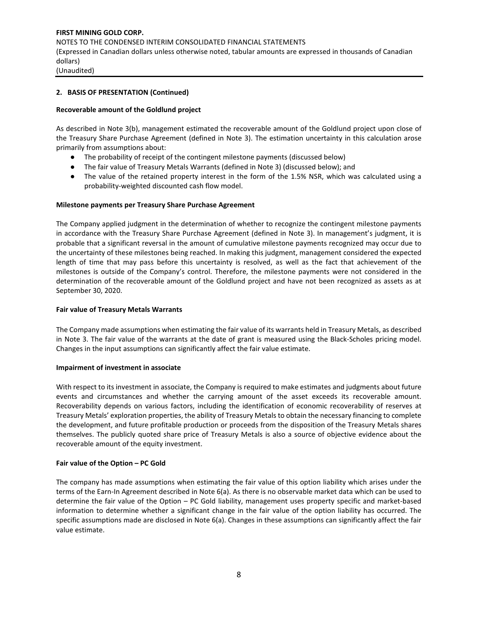## **2. BASIS OF PRESENTATION (Continued)**

#### **Recoverable amount of the Goldlund project**

As described in Note 3(b), management estimated the recoverable amount of the Goldlund project upon close of the Treasury Share Purchase Agreement (defined in Note 3). The estimation uncertainty in this calculation arose primarily from assumptions about:

- The probability of receipt of the contingent milestone payments (discussed below)
- The fair value of Treasury Metals Warrants (defined in Note 3) (discussed below); and
- The value of the retained property interest in the form of the 1.5% NSR, which was calculated using a probability-weighted discounted cash flow model.

#### **Milestone payments per Treasury Share Purchase Agreement**

The Company applied judgment in the determination of whether to recognize the contingent milestone payments in accordance with the Treasury Share Purchase Agreement (defined in Note 3). In management's judgment, it is probable that a significant reversal in the amount of cumulative milestone payments recognized may occur due to the uncertainty of these milestones being reached. In making this judgment, management considered the expected length of time that may pass before this uncertainty is resolved, as well as the fact that achievement of the milestones is outside of the Company's control. Therefore, the milestone payments were not considered in the determination of the recoverable amount of the Goldlund project and have not been recognized as assets as at September 30, 2020.

#### **Fair value of Treasury Metals Warrants**

The Company made assumptions when estimating the fair value of its warrants held in Treasury Metals, as described in Note 3. The fair value of the warrants at the date of grant is measured using the Black-Scholes pricing model. Changes in the input assumptions can significantly affect the fair value estimate.

#### **Impairment of investment in associate**

With respect to its investment in associate, the Company is required to make estimates and judgments about future events and circumstances and whether the carrying amount of the asset exceeds its recoverable amount. Recoverability depends on various factors, including the identification of economic recoverability of reserves at Treasury Metals' exploration properties, the ability of Treasury Metals to obtain the necessary financing to complete the development, and future profitable production or proceeds from the disposition of the Treasury Metals shares themselves. The publicly quoted share price of Treasury Metals is also a source of objective evidence about the recoverable amount of the equity investment.

#### **Fair value of the Option – PC Gold**

The company has made assumptions when estimating the fair value of this option liability which arises under the terms of the Earn-In Agreement described in Note 6(a). As there is no observable market data which can be used to determine the fair value of the Option – PC Gold liability, management uses property specific and market-based information to determine whether a significant change in the fair value of the option liability has occurred. The specific assumptions made are disclosed in Note 6(a). Changes in these assumptions can significantly affect the fair value estimate.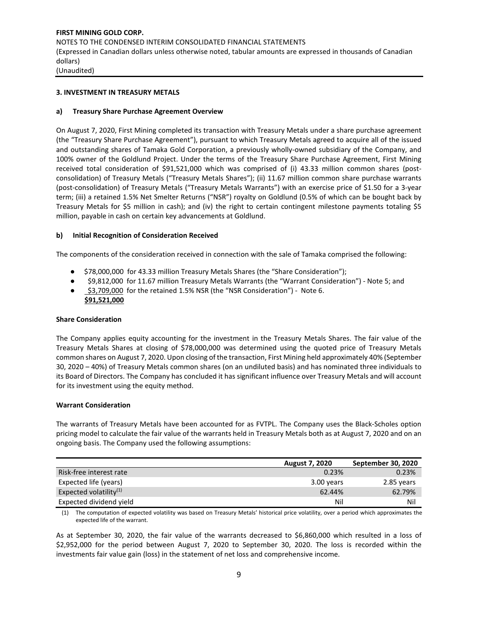#### **3. INVESTMENT IN TREASURY METALS**

#### **a) Treasury Share Purchase Agreement Overview**

On August 7, 2020, First Mining completed its transaction with Treasury Metals under a share purchase agreement (the "Treasury Share Purchase Agreement"), pursuant to which Treasury Metals agreed to acquire all of the issued and outstanding shares of Tamaka Gold Corporation, a previously wholly-owned subsidiary of the Company, and 100% owner of the Goldlund Project. Under the terms of the Treasury Share Purchase Agreement, First Mining received total consideration of \$91,521,000 which was comprised of (i) 43.33 million common shares (postconsolidation) of Treasury Metals ("Treasury Metals Shares"); (ii) 11.67 million common share purchase warrants (post-consolidation) of Treasury Metals ("Treasury Metals Warrants") with an exercise price of \$1.50 for a 3-year term; (iii) a retained 1.5% Net Smelter Returns ("NSR") royalty on Goldlund (0.5% of which can be bought back by Treasury Metals for \$5 million in cash); and (iv) the right to certain contingent milestone payments totaling \$5 million, payable in cash on certain key advancements at Goldlund.

## **b) Initial Recognition of Consideration Received**

The components of the consideration received in connection with the sale of Tamaka comprised the following:

- \$78,000,000 for 43.33 million Treasury Metals Shares (the "Share Consideration");
- \$9,812,000 for 11.67 million Treasury Metals Warrants (the "Warrant Consideration") Note 5; and
- \$3,709,000 for the retained 1.5% NSR (the "NSR Consideration") Note 6.  **\$91,521,000**

#### **Share Consideration**

The Company applies equity accounting for the investment in the Treasury Metals Shares. The fair value of the Treasury Metals Shares at closing of \$78,000,000 was determined using the quoted price of Treasury Metals common shares on August 7, 2020. Upon closing of the transaction, First Mining held approximately 40% (September 30, 2020 – 40%) of Treasury Metals common shares (on an undiluted basis) and has nominated three individuals to its Board of Directors. The Company has concluded it has significant influence over Treasury Metals and will account for its investment using the equity method.

#### **Warrant Consideration**

The warrants of Treasury Metals have been accounted for as FVTPL. The Company uses the Black-Scholes option pricing model to calculate the fair value of the warrants held in Treasury Metals both as at August 7, 2020 and on an ongoing basis. The Company used the following assumptions:

|                           | <b>August 7, 2020</b> | September 30, 2020 |
|---------------------------|-----------------------|--------------------|
| Risk-free interest rate   | 0.23%                 | 0.23%              |
| Expected life (years)     | 3.00 vears            | 2.85 years         |
| Expected volatility $(1)$ | 62.44%                | 62.79%             |
| Expected dividend yield   | Nil                   | Nil                |

(1) The computation of expected volatility was based on Treasury Metals' historical price volatility, over a period which approximates the expected life of the warrant.

As at September 30, 2020, the fair value of the warrants decreased to \$6,860,000 which resulted in a loss of \$2,952,000 for the period between August 7, 2020 to September 30, 2020. The loss is recorded within the investments fair value gain (loss) in the statement of net loss and comprehensive income.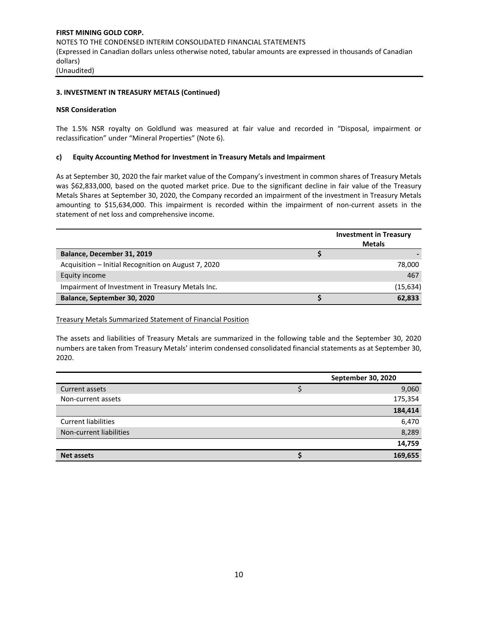## **3. INVESTMENT IN TREASURY METALS (Continued)**

## **NSR Consideration**

The 1.5% NSR royalty on Goldlund was measured at fair value and recorded in "Disposal, impairment or reclassification" under "Mineral Properties" (Note 6).

## **c) Equity Accounting Method for Investment in Treasury Metals and Impairment**

As at September 30, 2020 the fair market value of the Company's investment in common shares of Treasury Metals was \$62,833,000, based on the quoted market price. Due to the significant decline in fair value of the Treasury Metals Shares at September 30, 2020, the Company recorded an impairment of the investment in Treasury Metals amounting to \$15,634,000. This impairment is recorded within the impairment of non-current assets in the statement of net loss and comprehensive income.

|                                                     | <b>Investment in Treasury</b><br><b>Metals</b> |
|-----------------------------------------------------|------------------------------------------------|
| Balance, December 31, 2019                          |                                                |
| Acquisition - Initial Recognition on August 7, 2020 | 78,000                                         |
| Equity income                                       | 467                                            |
| Impairment of Investment in Treasury Metals Inc.    | (15, 634)                                      |
| Balance, September 30, 2020                         | 62,833                                         |

Treasury Metals Summarized Statement of Financial Position

The assets and liabilities of Treasury Metals are summarized in the following table and the September 30, 2020 numbers are taken from Treasury Metals' interim condensed consolidated financial statements as at September 30, 2020.

|                            | September 30, 2020 |
|----------------------------|--------------------|
| Current assets             | 9,060              |
| Non-current assets         | 175,354            |
|                            | 184,414            |
| <b>Current liabilities</b> | 6,470              |
| Non-current liabilities    | 8,289              |
|                            | 14,759             |
| <b>Net assets</b>          | 169,655            |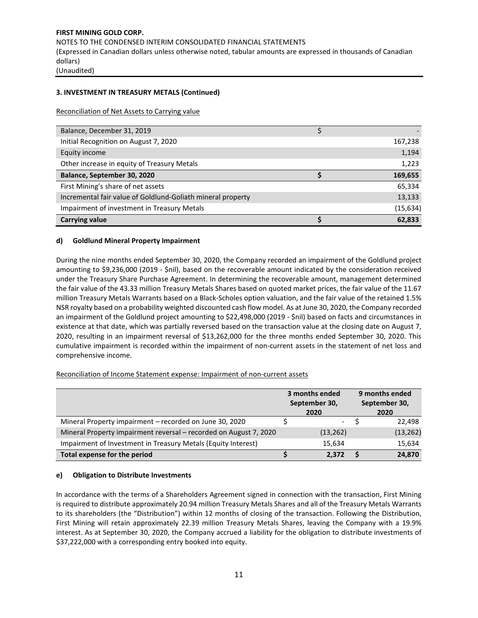## **3. INVESTMENT IN TREASURY METALS (Continued)**

Reconciliation of Net Assets to Carrying value

| Balance, December 31, 2019                                  |           |
|-------------------------------------------------------------|-----------|
| Initial Recognition on August 7, 2020                       | 167,238   |
| Equity income                                               | 1,194     |
| Other increase in equity of Treasury Metals                 | 1,223     |
| Balance, September 30, 2020                                 | 169,655   |
| First Mining's share of net assets                          | 65,334    |
| Incremental fair value of Goldlund-Goliath mineral property | 13,133    |
| Impairment of investment in Treasury Metals                 | (15, 634) |
| <b>Carrying value</b>                                       | 62,833    |

## **d) Goldlund Mineral Property Impairment**

During the nine months ended September 30, 2020, the Company recorded an impairment of the Goldlund project amounting to \$9,236,000 (2019 - \$nil), based on the recoverable amount indicated by the consideration received under the Treasury Share Purchase Agreement. In determining the recoverable amount, management determined the fair value of the 43.33 million Treasury Metals Shares based on quoted market prices, the fair value of the 11.67 million Treasury Metals Warrants based on a Black-Scholes option valuation, and the fair value of the retained 1.5% NSR royalty based on a probability weighted discounted cash flow model. As at June 30, 2020, the Company recorded an impairment of the Goldlund project amounting to \$22,498,000 (2019 - \$nil) based on facts and circumstances in existence at that date, which was partially reversed based on the transaction value at the closing date on August 7, 2020, resulting in an impairment reversal of \$13,262,000 for the three months ended September 30, 2020. This cumulative impairment is recorded within the impairment of non-current assets in the statement of net loss and comprehensive income.

#### Reconciliation of Income Statement expense: Impairment of non-current assets

|                                                                   | 3 months ended<br>September 30,<br>2020 | 9 months ended<br>September 30,<br>2020 |
|-------------------------------------------------------------------|-----------------------------------------|-----------------------------------------|
| Mineral Property impairment – recorded on June 30, 2020           | $\overline{\phantom{a}}$                | 22,498                                  |
| Mineral Property impairment reversal - recorded on August 7, 2020 | (13, 262)                               | (13, 262)                               |
| Impairment of Investment in Treasury Metals (Equity Interest)     | 15,634                                  | 15,634                                  |
| Total expense for the period                                      | 2.372                                   | 24,870                                  |

#### **e) Obligation to Distribute Investments**

In accordance with the terms of a Shareholders Agreement signed in connection with the transaction, First Mining is required to distribute approximately 20.94 million Treasury Metals Shares and all of the Treasury Metals Warrants to its shareholders (the "Distribution") within 12 months of closing of the transaction. Following the Distribution, First Mining will retain approximately 22.39 million Treasury Metals Shares, leaving the Company with a 19.9% interest. As at September 30, 2020, the Company accrued a liability for the obligation to distribute investments of \$37,222,000 with a corresponding entry booked into equity.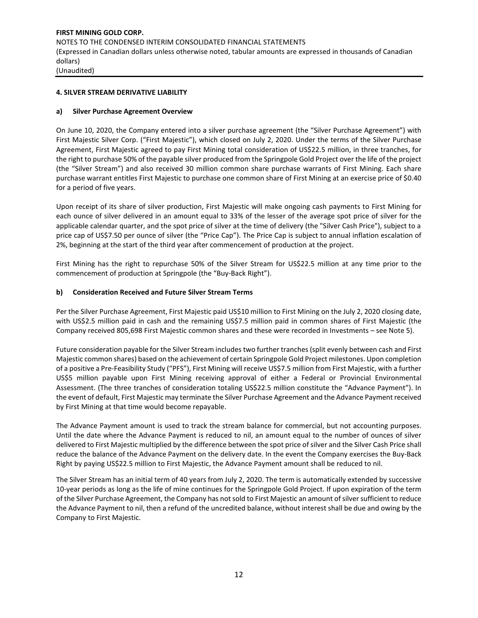## **4. SILVER STREAM DERIVATIVE LIABILITY**

## **a) Silver Purchase Agreement Overview**

On June 10, 2020, the Company entered into a silver purchase agreement (the "Silver Purchase Agreement") with First Majestic Silver Corp. ("First Majestic"), which closed on July 2, 2020. Under the terms of the Silver Purchase Agreement, First Majestic agreed to pay First Mining total consideration of US\$22.5 million, in three tranches, for the right to purchase 50% of the payable silver produced from the Springpole Gold Project over the life of the project (the "Silver Stream") and also received 30 million common share purchase warrants of First Mining. Each share purchase warrant entitles First Majestic to purchase one common share of First Mining at an exercise price of \$0.40 for a period of five years.

Upon receipt of its share of silver production, First Majestic will make ongoing cash payments to First Mining for each ounce of silver delivered in an amount equal to 33% of the lesser of the average spot price of silver for the applicable calendar quarter, and the spot price of silver at the time of delivery (the "Silver Cash Price"), subject to a price cap of US\$7.50 per ounce of silver (the "Price Cap"). The Price Cap is subject to annual inflation escalation of 2%, beginning at the start of the third year after commencement of production at the project.

First Mining has the right to repurchase 50% of the Silver Stream for US\$22.5 million at any time prior to the commencement of production at Springpole (the "Buy-Back Right").

## **b) Consideration Received and Future Silver Stream Terms**

Per the Silver Purchase Agreement, First Majestic paid US\$10 million to First Mining on the July 2, 2020 closing date, with US\$2.5 million paid in cash and the remaining US\$7.5 million paid in common shares of First Majestic (the Company received 805,698 First Majestic common shares and these were recorded in Investments – see Note 5).

Future consideration payable for the Silver Stream includes two further tranches (split evenly between cash and First Majestic common shares) based on the achievement of certain Springpole Gold Project milestones. Upon completion of a positive a Pre-Feasibility Study ("PFS"), First Mining will receive US\$7.5 million from First Majestic, with a further US\$5 million payable upon First Mining receiving approval of either a Federal or Provincial Environmental Assessment. (The three tranches of consideration totaling US\$22.5 million constitute the "Advance Payment"). In the event of default, First Majestic may terminate the Silver Purchase Agreement and the Advance Payment received by First Mining at that time would become repayable.

The Advance Payment amount is used to track the stream balance for commercial, but not accounting purposes. Until the date where the Advance Payment is reduced to nil, an amount equal to the number of ounces of silver delivered to First Majestic multiplied by the difference between the spot price of silver and the Silver Cash Price shall reduce the balance of the Advance Payment on the delivery date. In the event the Company exercises the Buy-Back Right by paying US\$22.5 million to First Majestic, the Advance Payment amount shall be reduced to nil.

The Silver Stream has an initial term of 40 years from July 2, 2020. The term is automatically extended by successive 10-year periods as long as the life of mine continues for the Springpole Gold Project. If upon expiration of the term of the Silver Purchase Agreement, the Company has not sold to First Majestic an amount of silver sufficient to reduce the Advance Payment to nil, then a refund of the uncredited balance, without interest shall be due and owing by the Company to First Majestic.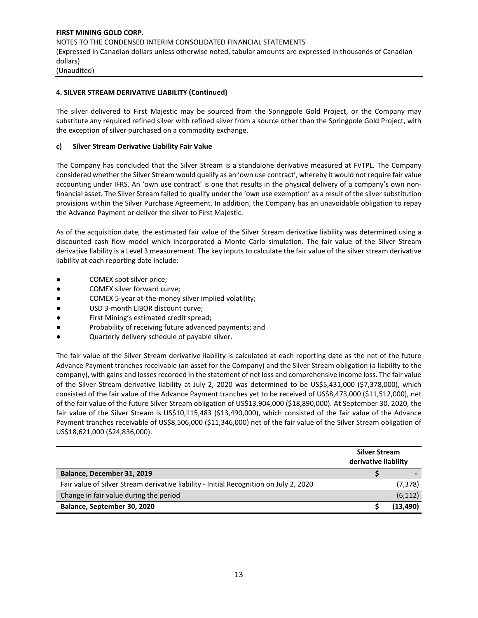## **4. SILVER STREAM DERIVATIVE LIABILITY (Continued)**

The silver delivered to First Majestic may be sourced from the Springpole Gold Project, or the Company may substitute any required refined silver with refined silver from a source other than the Springpole Gold Project, with the exception of silver purchased on a commodity exchange.

## **c) Silver Stream Derivative Liability Fair Value**

The Company has concluded that the Silver Stream is a standalone derivative measured at FVTPL. The Company considered whether the Silver Stream would qualify as an 'own use contract', whereby it would not require fair value accounting under IFRS. An 'own use contract' is one that results in the physical delivery of a company's own nonfinancial asset. The Silver Stream failed to qualify under the 'own use exemption' as a result of the silver substitution provisions within the Silver Purchase Agreement. In addition, the Company has an unavoidable obligation to repay the Advance Payment or deliver the silver to First Majestic.

As of the acquisition date, the estimated fair value of the Silver Stream derivative liability was determined using a discounted cash flow model which incorporated a Monte Carlo simulation. The fair value of the Silver Stream derivative liability is a Level 3 measurement. The key inputs to calculate the fair value of the silver stream derivative liability at each reporting date include:

- COMEX spot silver price;
- COMEX silver forward curve;
- COMEX 5-year at-the-money silver implied volatility;
- USD 3-month LIBOR discount curve;
- First Mining's estimated credit spread;
- Probability of receiving future advanced payments; and
- Quarterly delivery schedule of payable silver.

The fair value of the Silver Stream derivative liability is calculated at each reporting date as the net of the future Advance Payment tranches receivable (an asset for the Company) and the Silver Stream obligation (a liability to the company), with gains and losses recorded in the statement of net loss and comprehensive income loss. The fair value of the Silver Stream derivative liability at July 2, 2020 was determined to be US\$5,431,000 (\$7,378,000), which consisted of the fair value of the Advance Payment tranches yet to be received of US\$8,473,000 (\$11,512,000), net of the fair value of the future Silver Stream obligation of US\$13,904,000 (\$18,890,000). At September 30, 2020, the fair value of the Silver Stream is US\$10,115,483 (\$13,490,000), which consisted of the fair value of the Advance Payment tranches receivable of US\$8,506,000 (\$11,346,000) net of the fair value of the Silver Stream obligation of US\$18,621,000 (\$24,836,000).

|                                                                                        | <b>Silver Stream</b><br>derivative liability |           |
|----------------------------------------------------------------------------------------|----------------------------------------------|-----------|
| Balance, December 31, 2019                                                             |                                              |           |
| Fair value of Silver Stream derivative liability - Initial Recognition on July 2, 2020 |                                              | (7, 378)  |
| Change in fair value during the period                                                 |                                              | (6, 112)  |
| Balance, September 30, 2020                                                            |                                              | (13, 490) |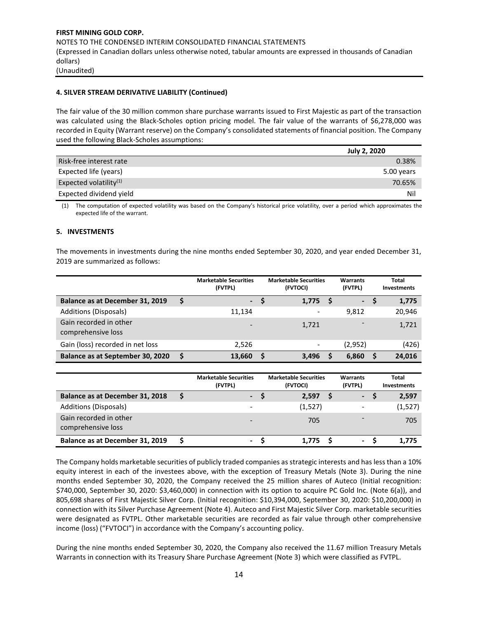## **4. SILVER STREAM DERIVATIVE LIABILITY (Continued)**

The fair value of the 30 million common share purchase warrants issued to First Majestic as part of the transaction was calculated using the Black-Scholes option pricing model. The fair value of the warrants of \$6,278,000 was recorded in Equity (Warrant reserve) on the Company's consolidated statements of financial position. The Company used the following Black-Scholes assumptions:

|                           | <b>July 2, 2020</b> |
|---------------------------|---------------------|
| Risk-free interest rate   | 0.38%               |
| Expected life (years)     | 5.00 years          |
| Expected volatility $(1)$ | 70.65%              |
| Expected dividend yield   | Nil                 |

(1) The computation of expected volatility was based on the Company's historical price volatility, over a period which approximates the expected life of the warrant.

## **5. INVESTMENTS**

The movements in investments during the nine months ended September 30, 2020, and year ended December 31, 2019 are summarized as follows:

|                                              |    | <b>Marketable Securities</b><br>(FVTPL) |   | <b>Marketable Securities</b><br>(FVTOCI) |     | Warrants<br>(FVTPL) | Total<br>Investments |
|----------------------------------------------|----|-----------------------------------------|---|------------------------------------------|-----|---------------------|----------------------|
| Balance as at December 31, 2019              | \$ | ъ.                                      |   | 1,775                                    | - S | $\sim$              | 1,775                |
| Additions (Disposals)                        |    | 11.134                                  |   | -                                        |     | 9.812               | 20,946               |
| Gain recorded in other<br>comprehensive loss |    |                                         |   | 1,721                                    |     |                     | 1,721                |
| Gain (loss) recorded in net loss             |    | 2.526                                   |   |                                          |     | (2,952)             | (426)                |
| Balance as at September 30, 2020             | S  | 13,660                                  | S | 3,496                                    | S   | 6,860               | 24,016               |

|                                              | <b>Marketable Securities</b><br>(FVTPL) | <b>Marketable Securities</b><br>(FVTOCI) | Warrants<br>(FVTPL)      | Total<br><b>Investments</b> |
|----------------------------------------------|-----------------------------------------|------------------------------------------|--------------------------|-----------------------------|
| Balance as at December 31, 2018              | $\sim$                                  | 2,597                                    | $\overline{\phantom{a}}$ | 2,597                       |
| Additions (Disposals)                        |                                         | (1,527)                                  | -                        | (1, 527)                    |
| Gain recorded in other<br>comprehensive loss |                                         | 705                                      | $\overline{\phantom{0}}$ | 705                         |
| Balance as at December 31, 2019              | ۰.                                      | 1.775                                    | $\sim$                   | 1.775                       |

The Company holds marketable securities of publicly traded companies as strategic interests and has less than a 10% equity interest in each of the investees above, with the exception of Treasury Metals (Note 3). During the nine months ended September 30, 2020, the Company received the 25 million shares of Auteco (Initial recognition: \$740,000, September 30, 2020: \$3,460,000) in connection with its option to acquire PC Gold Inc. (Note 6(a)), and 805,698 shares of First Majestic Silver Corp. (Initial recognition: \$10,394,000, September 30, 2020: \$10,200,000) in connection with its Silver Purchase Agreement (Note 4). Auteco and First Majestic Silver Corp. marketable securities were designated as FVTPL. Other marketable securities are recorded as fair value through other comprehensive income (loss) ("FVTOCI") in accordance with the Company's accounting policy.

During the nine months ended September 30, 2020, the Company also received the 11.67 million Treasury Metals Warrants in connection with its Treasury Share Purchase Agreement (Note 3) which were classified as FVTPL.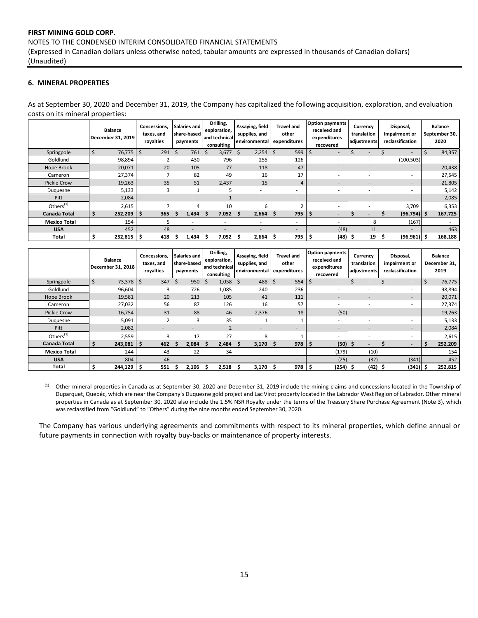#### NOTES TO THE CONDENSED INTERIM CONSOLIDATED FINANCIAL STATEMENTS

(Expressed in Canadian dollars unless otherwise noted, tabular amounts are expressed in thousands of Canadian dollars) (Unaudited)

## **6. MINERAL PROPERTIES**

As at September 30, 2020 and December 31, 2019, the Company has capitalized the following acquisition, exploration, and evaluation costs on its mineral properties:

|                     |   | <b>Balance</b><br>December 31, 2019 | Concessions.<br>taxes, and<br>royalties | Salaries and<br>share-based<br>payments |   | Drilling,<br>exploration,<br>and technical<br>consulting | Assaying, field<br>supplies, and<br>environmental | <b>Travel and</b><br>other<br>expenditures | <b>Option payments</b><br>received and<br>expenditures<br>recovered |           | Currency<br>translation<br>adjustments | Disposal,<br>impairment or<br>reclassification | <b>Balance</b><br>September 30,<br>2020 |
|---------------------|---|-------------------------------------|-----------------------------------------|-----------------------------------------|---|----------------------------------------------------------|---------------------------------------------------|--------------------------------------------|---------------------------------------------------------------------|-----------|----------------------------------------|------------------------------------------------|-----------------------------------------|
| Springpole          |   | 76,775                              | \$<br>$291 \quad $5$                    | 761                                     | S | 3,677                                                    | -Ś<br>$2,254$ \$                                  | 599                                        | Ŝ<br>۰.                                                             |           |                                        | $\overline{\phantom{a}}$                       | 84,357                                  |
| Goldlund            |   | 98,894                              | 2                                       | 430                                     |   | 796                                                      | 255                                               | 126                                        |                                                                     |           |                                        | (100, 503)                                     |                                         |
| Hope Brook          |   | 20,071                              | 20                                      | 105                                     |   | 77                                                       | 118                                               | 47                                         | ۰                                                                   |           | $\overline{\phantom{a}}$               | $\overline{\phantom{a}}$                       | 20,438                                  |
| Cameron             |   | 27,374                              |                                         | 82                                      |   | 49                                                       | 16                                                | 17                                         |                                                                     |           |                                        | $\overline{\phantom{a}}$                       | 27,545                                  |
| Pickle Crow         |   | 19,263                              | 35                                      | 51                                      |   | 2,437                                                    | 15                                                | 4                                          |                                                                     |           |                                        | $\overline{\phantom{a}}$                       | 21,805                                  |
| Duguesne            |   | 5,133                               | 3                                       |                                         |   |                                                          | ۰                                                 |                                            |                                                                     |           |                                        |                                                | 5,142                                   |
| Pitt                |   | 2,084                               | ۰                                       |                                         |   |                                                          | $\overline{\phantom{a}}$                          | $\overline{\phantom{a}}$                   |                                                                     |           |                                        | $\sim$                                         | 2,085                                   |
| Others $(1)$        |   | 2,615                               |                                         | 4                                       |   | 10                                                       | 6                                                 |                                            |                                                                     |           |                                        | 3,709                                          | 6,353                                   |
| Canada Total        |   | 252,209                             | 365<br>\$.                              | 1,434                                   |   | 7,052                                                    | 2,664                                             | 795                                        |                                                                     |           |                                        | (96, 794)                                      | 167,725                                 |
| <b>Mexico Total</b> |   | 154                                 | 5                                       |                                         |   |                                                          | ٠                                                 | $\overline{\phantom{a}}$                   |                                                                     |           | 8                                      | (167)                                          |                                         |
| <b>USA</b>          |   | 452                                 | 48                                      |                                         |   |                                                          |                                                   | $\overline{\phantom{a}}$                   | (48)                                                                |           | 11                                     | $\overline{\phantom{a}}$                       | 463                                     |
| Total               | S | $252,815$ $\frac{1}{5}$             | 418                                     | 1,434                                   |   | 7,052                                                    | 2,664                                             | 795                                        | ΙŞ                                                                  | $(48)$ \$ | 19                                     | $(96, 961)$ \$                                 | 168,188                                 |

|                       | <b>Balance</b><br>December 31, 2018 | Concessions,<br>taxes, and<br>royalties | Salaries and<br>share-based<br>payments | Drilling,<br>exploration,<br>and technical<br>consulting | Assaying, field<br>supplies, and<br>environmental | Travel and<br>other<br>expenditures | <b>Option payments</b><br>received and<br>expenditures<br>recovered | Currency<br>translation<br>adjustments | Disposal,<br>impairment or<br>reclassification | <b>Balance</b><br>December 31,<br>2019 |
|-----------------------|-------------------------------------|-----------------------------------------|-----------------------------------------|----------------------------------------------------------|---------------------------------------------------|-------------------------------------|---------------------------------------------------------------------|----------------------------------------|------------------------------------------------|----------------------------------------|
| Springpole            | 73,378<br>5                         | 347<br>-\$                              | 950<br>Ŝ                                | 1,058<br><sup>\$</sup>                                   | 488<br>\$                                         | 554<br>S                            | -\$                                                                 |                                        | $\overline{\phantom{a}}$                       | 76,775<br>S                            |
| Goldlund              | 96,604                              | 3                                       | 726                                     | 1,085                                                    | 240                                               | 236                                 |                                                                     |                                        | ۰                                              | 98,894                                 |
| Hope Brook            | 19,581                              | 20                                      | 213                                     | 105                                                      | 41                                                | 111                                 |                                                                     |                                        |                                                | 20,071                                 |
| Cameron               | 27,032                              | 56                                      | 87                                      | 126                                                      | 16                                                | 57                                  |                                                                     |                                        | ۰                                              | 27,374                                 |
| Pickle Crow           | 16,754                              | 31                                      | 88                                      | 46                                                       | 2,376                                             | 18                                  | (50)                                                                |                                        |                                                | 19,263                                 |
| Duguesne              | 5,091                               |                                         | 3                                       | 35                                                       |                                                   |                                     |                                                                     |                                        | ۰                                              | 5,133                                  |
| Pitt                  | 2,082                               |                                         | $\overline{\phantom{a}}$                | $\overline{2}$                                           | $\overline{\phantom{a}}$                          | $\overline{\phantom{a}}$            |                                                                     | $\overline{\phantom{a}}$               | $\overline{\phantom{a}}$                       | 2,084                                  |
| Others <sup>(1)</sup> | 2,559                               | 3                                       | 17                                      | 27                                                       | 8                                                 |                                     |                                                                     |                                        | ۰                                              | 2,615                                  |
| <b>Canada Total</b>   | 243,081                             | \$<br>462                               | 2,084                                   | 2,484                                                    | 3,170                                             | 978                                 | (50)<br>Ş                                                           | э                                      | $\overline{\phantom{0}}$                       | 252,209                                |
| <b>Mexico Total</b>   | 244                                 | 43                                      | 22                                      | 34                                                       |                                                   | ۰                                   | (179)                                                               | (10)                                   | ۰                                              | 154                                    |
| <b>USA</b>            | 804                                 | 46                                      |                                         |                                                          |                                                   |                                     | (25)                                                                | (32)                                   | (341)                                          | 452                                    |
| Total                 | 244,129                             | 551<br>-\$                              | 2,106                                   | 2,518                                                    | 3,170                                             | 978                                 | (254)<br>- \$                                                       | $(42)$ \$                              | (341)                                          | 252,815                                |

<sup>(1)</sup> Other mineral properties in Canada as at September 30, 2020 and December 31, 2019 include the mining claims and concessions located in the Township of Duparquet, Quebéc, which are near the Company's Duquesne gold project and Lac Virot property located in the Labrador West Region of Labrador. Other mineral properties in Canada as at September 30, 2020 also include the 1.5% NSR Royalty under the terms of the Treasury Share Purchase Agreement (Note 3), which was reclassified from "Goldlund" to "Others" during the nine months ended September 30, 2020.

The Company has various underlying agreements and commitments with respect to its mineral properties, which define annual or future payments in connection with royalty buy-backs or maintenance of property interests.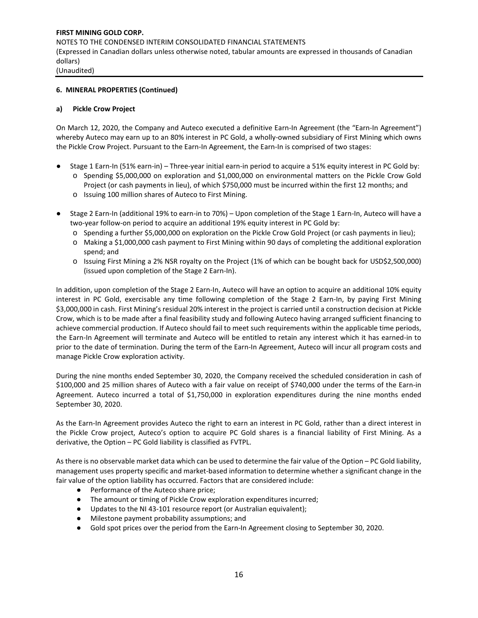## **6. MINERAL PROPERTIES (Continued)**

#### **a) Pickle Crow Project**

On March 12, 2020, the Company and Auteco executed a definitive Earn-In Agreement (the "Earn-In Agreement") whereby Auteco may earn up to an 80% interest in PC Gold, a wholly-owned subsidiary of First Mining which owns the Pickle Crow Project. Pursuant to the Earn-In Agreement, the Earn-In is comprised of two stages:

- Stage 1 Earn-In (51% earn-in) Three-year initial earn-in period to acquire a 51% equity interest in PC Gold by: o Spending \$5,000,000 on exploration and \$1,000,000 on environmental matters on the Pickle Crow Gold Project (or cash payments in lieu), of which \$750,000 must be incurred within the first 12 months; and
	- o Issuing 100 million shares of Auteco to First Mining.
- Stage 2 Earn-In (additional 19% to earn-in to 70%) Upon completion of the Stage 1 Earn-In, Auteco will have a two-year follow-on period to acquire an additional 19% equity interest in PC Gold by:
	- o Spending a further \$5,000,000 on exploration on the Pickle Crow Gold Project (or cash payments in lieu);
	- o Making a \$1,000,000 cash payment to First Mining within 90 days of completing the additional exploration spend; and
	- o Issuing First Mining a 2% NSR royalty on the Project (1% of which can be bought back for USD\$2,500,000) (issued upon completion of the Stage 2 Earn-In).

In addition, upon completion of the Stage 2 Earn-In, Auteco will have an option to acquire an additional 10% equity interest in PC Gold, exercisable any time following completion of the Stage 2 Earn-In, by paying First Mining \$3,000,000 in cash. First Mining's residual 20% interest in the project is carried until a construction decision at Pickle Crow, which is to be made after a final feasibility study and following Auteco having arranged sufficient financing to achieve commercial production. If Auteco should fail to meet such requirements within the applicable time periods, the Earn-In Agreement will terminate and Auteco will be entitled to retain any interest which it has earned-in to prior to the date of termination. During the term of the Earn-In Agreement, Auteco will incur all program costs and manage Pickle Crow exploration activity.

During the nine months ended September 30, 2020, the Company received the scheduled consideration in cash of \$100,000 and 25 million shares of Auteco with a fair value on receipt of \$740,000 under the terms of the Earn-in Agreement. Auteco incurred a total of \$1,750,000 in exploration expenditures during the nine months ended September 30, 2020.

As the Earn-In Agreement provides Auteco the right to earn an interest in PC Gold, rather than a direct interest in the Pickle Crow project, Auteco's option to acquire PC Gold shares is a financial liability of First Mining. As a derivative, the Option – PC Gold liability is classified as FVTPL.

As there is no observable market data which can be used to determine the fair value of the Option – PC Gold liability, management uses property specific and market-based information to determine whether a significant change in the fair value of the option liability has occurred. Factors that are considered include:

- Performance of the Auteco share price;
- The amount or timing of Pickle Crow exploration expenditures incurred;
- Updates to the NI 43-101 resource report (or Australian equivalent);
- Milestone payment probability assumptions; and
- Gold spot prices over the period from the Earn-In Agreement closing to September 30, 2020.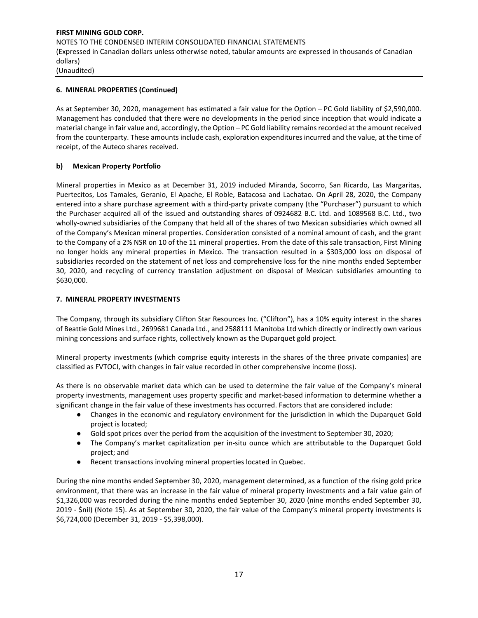## **6. MINERAL PROPERTIES (Continued)**

As at September 30, 2020, management has estimated a fair value for the Option – PC Gold liability of \$2,590,000. Management has concluded that there were no developments in the period since inception that would indicate a material change in fair value and, accordingly, the Option – PC Gold liability remains recorded at the amount received from the counterparty. These amounts include cash, exploration expenditures incurred and the value, at the time of receipt, of the Auteco shares received.

## **b) Mexican Property Portfolio**

Mineral properties in Mexico as at December 31, 2019 included Miranda, Socorro, San Ricardo, Las Margaritas, Puertecitos, Los Tamales, Geranio, El Apache, El Roble, Batacosa and Lachatao. On April 28, 2020, the Company entered into a share purchase agreement with a third-party private company (the "Purchaser") pursuant to which the Purchaser acquired all of the issued and outstanding shares of 0924682 B.C. Ltd. and 1089568 B.C. Ltd., two wholly-owned subsidiaries of the Company that held all of the shares of two Mexican subsidiaries which owned all of the Company's Mexican mineral properties. Consideration consisted of a nominal amount of cash, and the grant to the Company of a 2% NSR on 10 of the 11 mineral properties. From the date of this sale transaction, First Mining no longer holds any mineral properties in Mexico. The transaction resulted in a \$303,000 loss on disposal of subsidiaries recorded on the statement of net loss and comprehensive loss for the nine months ended September 30, 2020, and recycling of currency translation adjustment on disposal of Mexican subsidiaries amounting to \$630,000.

## **7. MINERAL PROPERTY INVESTMENTS**

The Company, through its subsidiary Clifton Star Resources Inc. ("Clifton"), has a 10% equity interest in the shares of Beattie Gold Mines Ltd., 2699681 Canada Ltd., and 2588111 Manitoba Ltd which directly or indirectly own various mining concessions and surface rights, collectively known as the Duparquet gold project.

Mineral property investments (which comprise equity interests in the shares of the three private companies) are classified as FVTOCI, with changes in fair value recorded in other comprehensive income (loss).

As there is no observable market data which can be used to determine the fair value of the Company's mineral property investments, management uses property specific and market-based information to determine whether a significant change in the fair value of these investments has occurred. Factors that are considered include:

- Changes in the economic and regulatory environment for the jurisdiction in which the Duparquet Gold project is located;
- Gold spot prices over the period from the acquisition of the investment to September 30, 2020;
- The Company's market capitalization per in-situ ounce which are attributable to the Duparquet Gold project; and
- Recent transactions involving mineral properties located in Quebec.

During the nine months ended September 30, 2020, management determined, as a function of the rising gold price environment, that there was an increase in the fair value of mineral property investments and a fair value gain of \$1,326,000 was recorded during the nine months ended September 30, 2020 (nine months ended September 30, 2019 - \$nil) (Note 15). As at September 30, 2020, the fair value of the Company's mineral property investments is \$6,724,000 (December 31, 2019 - \$5,398,000).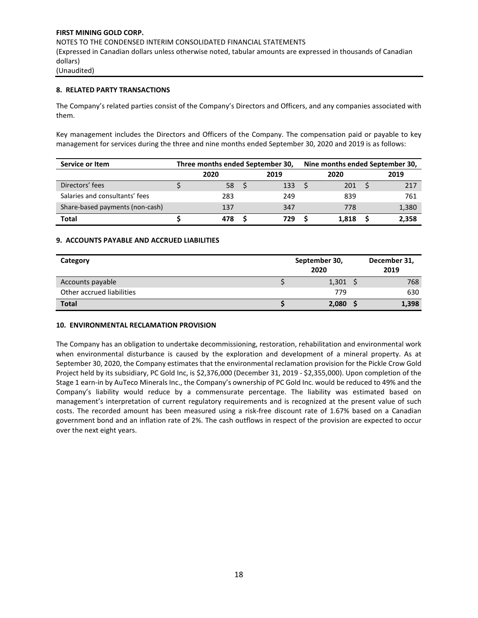## **8. RELATED PARTY TRANSACTIONS**

The Company's related parties consist of the Company's Directors and Officers, and any companies associated with them.

Key management includes the Directors and Officers of the Company. The compensation paid or payable to key management for services during the three and nine months ended September 30, 2020 and 2019 is as follows:

| Service or Item                 | Three months ended September 30, |  |      |  | Nine months ended September 30, |  |       |  |
|---------------------------------|----------------------------------|--|------|--|---------------------------------|--|-------|--|
|                                 | 2020                             |  | 2019 |  | 2020                            |  | 2019  |  |
| Directors' fees                 | 58                               |  | 133  |  | 201                             |  | 217   |  |
| Salaries and consultants' fees  | 283                              |  | 249  |  | 839                             |  | 761   |  |
| Share-based payments (non-cash) | 137                              |  | 347  |  | 778                             |  | 1,380 |  |
| Total                           | 478                              |  | 729  |  | 1.818                           |  | 2.358 |  |

## **9. ACCOUNTS PAYABLE AND ACCRUED LIABILITIES**

| Category                  | September 30,<br>2020 | December 31,<br>2019 |       |
|---------------------------|-----------------------|----------------------|-------|
| Accounts payable          | $1,301$ \$            |                      | 768   |
| Other accrued liabilities | 779                   |                      | 630   |
| <b>Total</b>              | 2,080                 |                      | 1,398 |

#### **10. ENVIRONMENTAL RECLAMATION PROVISION**

The Company has an obligation to undertake decommissioning, restoration, rehabilitation and environmental work when environmental disturbance is caused by the exploration and development of a mineral property. As at September 30, 2020, the Company estimates that the environmental reclamation provision for the Pickle Crow Gold Project held by its subsidiary, PC Gold Inc, is \$2,376,000 (December 31, 2019 - \$2,355,000). Upon completion of the Stage 1 earn-in by AuTeco Minerals Inc., the Company's ownership of PC Gold Inc. would be reduced to 49% and the Company's liability would reduce by a commensurate percentage. The liability was estimated based on management's interpretation of current regulatory requirements and is recognized at the present value of such costs. The recorded amount has been measured using a risk-free discount rate of 1.67% based on a Canadian government bond and an inflation rate of 2%. The cash outflows in respect of the provision are expected to occur over the next eight years.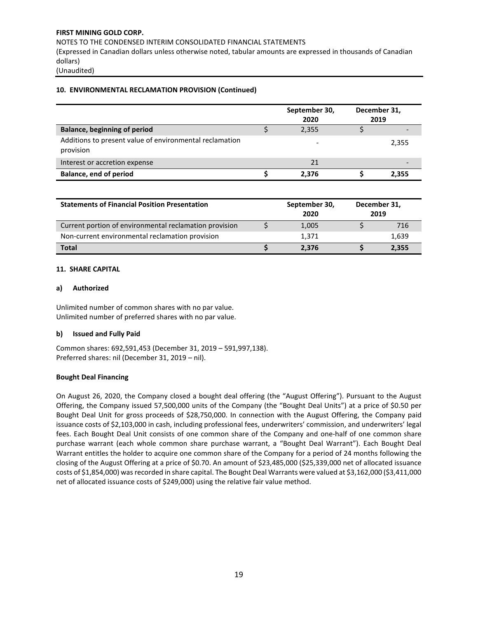NOTES TO THE CONDENSED INTERIM CONSOLIDATED FINANCIAL STATEMENTS

(Expressed in Canadian dollars unless otherwise noted, tabular amounts are expressed in thousands of Canadian dollars)

(Unaudited)

## **10. ENVIRONMENTAL RECLAMATION PROVISION (Continued)**

|                                                                      | September 30,<br>2020 | December 31,<br>2019 |
|----------------------------------------------------------------------|-----------------------|----------------------|
| <b>Balance, beginning of period</b>                                  | 2,355                 |                      |
| Additions to present value of environmental reclamation<br>provision | -                     | 2,355                |
| Interest or accretion expense                                        | 21                    |                      |
| <b>Balance, end of period</b>                                        | 2,376                 | 2,355                |

| <b>Statements of Financial Position Presentation</b>   | September 30,<br>2020 | December 31,<br>2019 |       |
|--------------------------------------------------------|-----------------------|----------------------|-------|
| Current portion of environmental reclamation provision |                       | 1,005                | 716   |
| Non-current environmental reclamation provision        |                       | 1.371                | 1.639 |
| <b>Total</b>                                           |                       | 2.376                | 2,355 |

## **11. SHARE CAPITAL**

## **a) Authorized**

Unlimited number of common shares with no par value. Unlimited number of preferred shares with no par value.

## **b) Issued and Fully Paid**

Common shares: 692,591,453 (December 31, 2019 – 591,997,138). Preferred shares: nil (December 31, 2019 – nil).

## **Bought Deal Financing**

On August 26, 2020, the Company closed a bought deal offering (the "August Offering"). Pursuant to the August Offering, the Company issued 57,500,000 units of the Company (the "Bought Deal Units") at a price of \$0.50 per Bought Deal Unit for gross proceeds of \$28,750,000. In connection with the August Offering, the Company paid issuance costs of \$2,103,000 in cash, including professional fees, underwriters' commission, and underwriters' legal fees. Each Bought Deal Unit consists of one common share of the Company and one-half of one common share purchase warrant (each whole common share purchase warrant, a "Bought Deal Warrant"). Each Bought Deal Warrant entitles the holder to acquire one common share of the Company for a period of 24 months following the closing of the August Offering at a price of \$0.70. An amount of \$23,485,000 (\$25,339,000 net of allocated issuance costs of \$1,854,000) was recorded in share capital. The Bought Deal Warrants were valued at \$3,162,000 (\$3,411,000 net of allocated issuance costs of \$249,000) using the relative fair value method.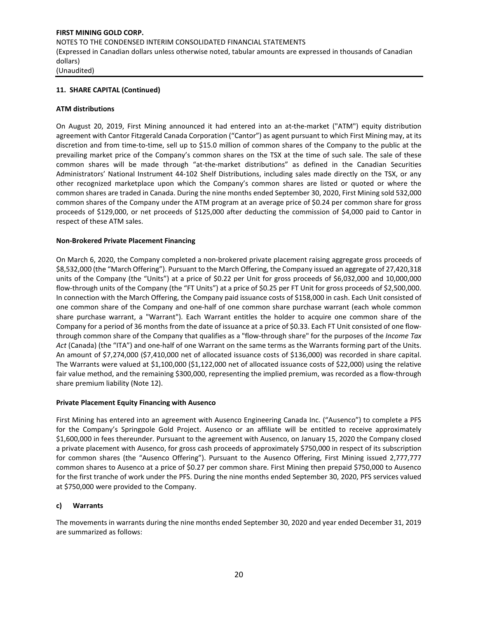## **11. SHARE CAPITAL (Continued)**

## **ATM distributions**

On August 20, 2019, First Mining announced it had entered into an at-the-market ("ATM") equity distribution agreement with Cantor Fitzgerald Canada Corporation ("Cantor") as agent pursuant to which First Mining may, at its discretion and from time-to-time, sell up to \$15.0 million of common shares of the Company to the public at the prevailing market price of the Company's common shares on the TSX at the time of such sale. The sale of these common shares will be made through "at-the-market distributions" as defined in the Canadian Securities Administrators' National Instrument 44-102 Shelf Distributions, including sales made directly on the TSX, or any other recognized marketplace upon which the Company's common shares are listed or quoted or where the common shares are traded in Canada. During the nine months ended September 30, 2020, First Mining sold 532,000 common shares of the Company under the ATM program at an average price of \$0.24 per common share for gross proceeds of \$129,000, or net proceeds of \$125,000 after deducting the commission of \$4,000 paid to Cantor in respect of these ATM sales.

## **Non-Brokered Private Placement Financing**

On March 6, 2020, the Company completed a non-brokered private placement raising aggregate gross proceeds of \$8,532,000 (the "March Offering"). Pursuant to the March Offering, the Company issued an aggregate of 27,420,318 units of the Company (the "Units") at a price of \$0.22 per Unit for gross proceeds of \$6,032,000 and 10,000,000 flow-through units of the Company (the "FT Units") at a price of \$0.25 per FT Unit for gross proceeds of \$2,500,000. In connection with the March Offering, the Company paid issuance costs of \$158,000 in cash. Each Unit consisted of one common share of the Company and one-half of one common share purchase warrant (each whole common share purchase warrant, a "Warrant"). Each Warrant entitles the holder to acquire one common share of the Company for a period of 36 months from the date of issuance at a price of \$0.33. Each FT Unit consisted of one flowthrough common share of the Company that qualifies as a "flow-through share" for the purposes of the *Income Tax Act* (Canada) (the "ITA") and one-half of one Warrant on the same terms as the Warrants forming part of the Units. An amount of \$7,274,000 (\$7,410,000 net of allocated issuance costs of \$136,000) was recorded in share capital. The Warrants were valued at \$1,100,000 (\$1,122,000 net of allocated issuance costs of \$22,000) using the relative fair value method, and the remaining \$300,000, representing the implied premium, was recorded as a flow-through share premium liability (Note 12).

#### **Private Placement Equity Financing with Ausenco**

First Mining has entered into an agreement with Ausenco Engineering Canada Inc. ("Ausenco") to complete a PFS for the Company's Springpole Gold Project. Ausenco or an affiliate will be entitled to receive approximately \$1,600,000 in fees thereunder. Pursuant to the agreement with Ausenco, on January 15, 2020 the Company closed a private placement with Ausenco, for gross cash proceeds of approximately \$750,000 in respect of its subscription for common shares (the "Ausenco Offering"). Pursuant to the Ausenco Offering, First Mining issued 2,777,777 common shares to Ausenco at a price of \$0.27 per common share. First Mining then prepaid \$750,000 to Ausenco for the first tranche of work under the PFS. During the nine months ended September 30, 2020, PFS services valued at \$750,000 were provided to the Company.

## **c) Warrants**

The movements in warrants during the nine months ended September 30, 2020 and year ended December 31, 2019 are summarized as follows: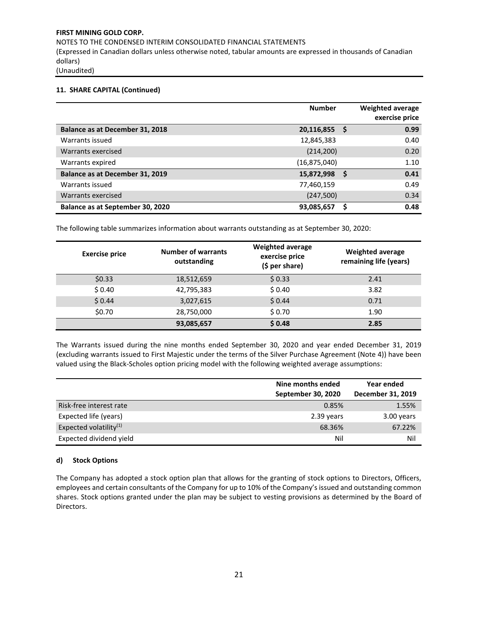NOTES TO THE CONDENSED INTERIM CONSOLIDATED FINANCIAL STATEMENTS (Expressed in Canadian dollars unless otherwise noted, tabular amounts are expressed in thousands of Canadian dollars) (Unaudited)

## **11. SHARE CAPITAL (Continued)**

|                                  | <b>Number</b>  |     | <b>Weighted average</b><br>exercise price |
|----------------------------------|----------------|-----|-------------------------------------------|
| Balance as at December 31, 2018  | 20,116,855     | - S | 0.99                                      |
| Warrants issued                  | 12,845,383     |     | 0.40                                      |
| Warrants exercised               | (214, 200)     |     | 0.20                                      |
| Warrants expired                 | (16, 875, 040) |     | 1.10                                      |
| Balance as at December 31, 2019  | 15,872,998     | S   | 0.41                                      |
| Warrants issued                  | 77,460,159     |     | 0.49                                      |
| Warrants exercised               | (247,500)      |     | 0.34                                      |
| Balance as at September 30, 2020 | 93,085,657     |     | 0.48                                      |

The following table summarizes information about warrants outstanding as at September 30, 2020:

| <b>Exercise price</b> | <b>Number of warrants</b><br>outstanding | <b>Weighted average</b><br>exercise price<br>$(5 per share)$ | <b>Weighted average</b><br>remaining life (years) |
|-----------------------|------------------------------------------|--------------------------------------------------------------|---------------------------------------------------|
| \$0.33                | 18,512,659                               | \$0.33                                                       | 2.41                                              |
| \$0.40                | 42,795,383                               | \$0.40                                                       | 3.82                                              |
| \$0.44                | 3,027,615                                | \$0.44                                                       | 0.71                                              |
| \$0.70                | 28,750,000                               | \$0.70                                                       | 1.90                                              |
|                       | 93,085,657                               | \$0.48                                                       | 2.85                                              |

The Warrants issued during the nine months ended September 30, 2020 and year ended December 31, 2019 (excluding warrants issued to First Majestic under the terms of the Silver Purchase Agreement (Note 4)) have been valued using the Black-Scholes option pricing model with the following weighted average assumptions:

|                           | Nine months ended<br>September 30, 2020 | Year ended<br>December 31, 2019 |
|---------------------------|-----------------------------------------|---------------------------------|
| Risk-free interest rate   | 0.85%                                   | 1.55%                           |
| Expected life (years)     | 2.39 years                              | 3.00 years                      |
| Expected volatility $(1)$ | 68.36%                                  | 67.22%                          |
| Expected dividend yield   | Nil                                     | Nil                             |

#### **d) Stock Options**

The Company has adopted a stock option plan that allows for the granting of stock options to Directors, Officers, employees and certain consultants of the Company for up to 10% of the Company's issued and outstanding common shares. Stock options granted under the plan may be subject to vesting provisions as determined by the Board of Directors.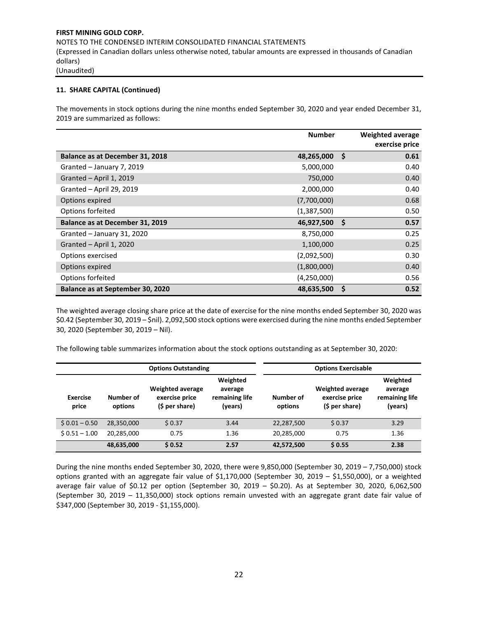## **11. SHARE CAPITAL (Continued)**

The movements in stock options during the nine months ended September 30, 2020 and year ended December 31, 2019 are summarized as follows:

|                                  | <b>Number</b> |    | <b>Weighted average</b> |
|----------------------------------|---------------|----|-------------------------|
|                                  |               |    | exercise price          |
| Balance as at December 31, 2018  | 48,265,000    | Ŝ. | 0.61                    |
| Granted - January 7, 2019        | 5,000,000     |    | 0.40                    |
| Granted - April 1, 2019          | 750,000       |    | 0.40                    |
| Granted - April 29, 2019         | 2,000,000     |    | 0.40                    |
| Options expired                  | (7,700,000)   |    | 0.68                    |
| Options forfeited                | (1,387,500)   |    | 0.50                    |
| Balance as at December 31, 2019  | 46,927,500    | Ŝ. | 0.57                    |
| Granted - January 31, 2020       | 8,750,000     |    | 0.25                    |
| Granted - April 1, 2020          | 1,100,000     |    | 0.25                    |
| Options exercised                | (2,092,500)   |    | 0.30                    |
| Options expired                  | (1,800,000)   |    | 0.40                    |
| Options forfeited                | (4,250,000)   |    | 0.56                    |
| Balance as at September 30, 2020 | 48,635,500    | \$ | 0.52                    |

The weighted average closing share price at the date of exercise for the nine months ended September 30, 2020 was \$0.42 (September 30, 2019 – \$nil). 2,092,500 stock options were exercised during the nine months ended September 30, 2020 (September 30, 2019 – Nil).

The following table summarizes information about the stock options outstanding as at September 30, 2020:

|                          |                      | <b>Options Outstanding</b>                                  | <b>Options Exercisable</b>                       |                      |                                                             |                                                  |  |
|--------------------------|----------------------|-------------------------------------------------------------|--------------------------------------------------|----------------------|-------------------------------------------------------------|--------------------------------------------------|--|
| <b>Exercise</b><br>price | Number of<br>options | <b>Weighted average</b><br>exercise price<br>(\$ per share) | Weighted<br>average<br>remaining life<br>(years) | Number of<br>options | <b>Weighted average</b><br>exercise price<br>(\$ per share) | Weighted<br>average<br>remaining life<br>(years) |  |
| $$0.01 - 0.50$           | 28,350,000           | \$0.37                                                      | 3.44                                             | 22,287,500           | \$0.37                                                      | 3.29                                             |  |
| $$0.51 - 1.00$           | 20,285,000           | 0.75                                                        | 1.36                                             | 20,285,000           | 0.75                                                        | 1.36                                             |  |
|                          | 48,635,000           | \$0.52                                                      | 2.57                                             | 42,572,500           | \$0.55                                                      | 2.38                                             |  |

During the nine months ended September 30, 2020, there were 9,850,000 (September 30, 2019 – 7,750,000) stock options granted with an aggregate fair value of \$1,170,000 (September 30, 2019 – \$1,550,000), or a weighted average fair value of \$0.12 per option (September 30, 2019 – \$0.20). As at September 30, 2020, 6,062,500 (September 30, 2019 – 11,350,000) stock options remain unvested with an aggregate grant date fair value of \$347,000 (September 30, 2019 - \$1,155,000).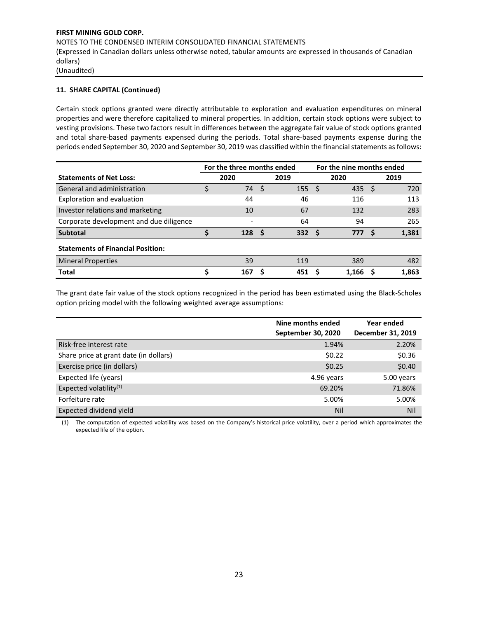## **11. SHARE CAPITAL (Continued)**

Certain stock options granted were directly attributable to exploration and evaluation expenditures on mineral properties and were therefore capitalized to mineral properties. In addition, certain stock options were subject to vesting provisions. These two factors result in differences between the aggregate fair value of stock options granted and total share-based payments expensed during the periods. Total share-based payments expense during the periods ended September 30, 2020 and September 30, 2019 was classified within the financial statements as follows:

|                                          | For the three months ended |      |                  | For the nine months ended |       |     |       |  |  |
|------------------------------------------|----------------------------|------|------------------|---------------------------|-------|-----|-------|--|--|
| <b>Statements of Net Loss:</b>           | 2020                       |      | 2019             |                           | 2020  |     | 2019  |  |  |
| General and administration               | 74                         | - \$ | 155              | - \$                      | 435   | -S  | 720   |  |  |
| Exploration and evaluation               | 44                         |      | 46               |                           | 116   |     | 113   |  |  |
| Investor relations and marketing         | 10                         |      | 67               |                           | 132   |     | 283   |  |  |
| Corporate development and due diligence  |                            |      | 64               |                           | 94    |     | 265   |  |  |
| <b>Subtotal</b>                          | 128                        | - S  | 332 <sub>5</sub> |                           | 777   | - S | 1,381 |  |  |
| <b>Statements of Financial Position:</b> |                            |      |                  |                           |       |     |       |  |  |
| <b>Mineral Properties</b>                | 39                         |      | 119              |                           | 389   |     | 482   |  |  |
| <b>Total</b>                             | 167                        | Ś    | 451              |                           | 1.166 |     | 1,863 |  |  |

The grant date fair value of the stock options recognized in the period has been estimated using the Black-Scholes option pricing model with the following weighted average assumptions:

|                                        | Nine months ended<br>September 30, 2020 | Year ended<br>December 31, 2019 |
|----------------------------------------|-----------------------------------------|---------------------------------|
| Risk-free interest rate                | 1.94%                                   | 2.20%                           |
| Share price at grant date (in dollars) | \$0.22                                  | \$0.36                          |
| Exercise price (in dollars)            | \$0.25                                  | \$0.40                          |
| Expected life (years)                  | 4.96 years                              | 5.00 years                      |
| Expected volatility $(1)$              | 69.20%                                  | 71.86%                          |
| Forfeiture rate                        | 5.00%                                   | 5.00%                           |
| Expected dividend yield                | Nil                                     | Nil                             |

(1) The computation of expected volatility was based on the Company's historical price volatility, over a period which approximates the expected life of the option.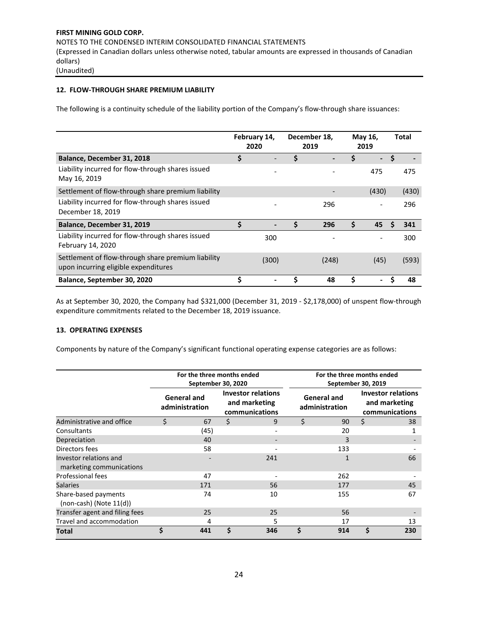# **12. FLOW-THROUGH SHARE PREMIUM LIABILITY**

The following is a continuity schedule of the liability portion of the Company's flow-through share issuances:

|                                                                                            |    | February 14,<br>2020 |    | December 18,<br>2019 | May 16,<br>2019                | <b>Total</b> |
|--------------------------------------------------------------------------------------------|----|----------------------|----|----------------------|--------------------------------|--------------|
| Balance, December 31, 2018                                                                 | \$ |                      | \$ |                      | \$<br>$\overline{\phantom{0}}$ | \$           |
| Liability incurred for flow-through shares issued<br>May 16, 2019                          |    |                      |    |                      | 475                            | 475          |
| Settlement of flow-through share premium liability                                         |    |                      |    |                      | (430)                          | (430)        |
| Liability incurred for flow-through shares issued<br>December 18, 2019                     |    |                      |    | 296                  |                                | 296          |
| Balance, December 31, 2019                                                                 | Ś  |                      | Ś  | 296                  | \$<br>45                       | 341<br>S     |
| Liability incurred for flow-through shares issued<br>February 14, 2020                     |    | 300                  |    |                      |                                | 300          |
| Settlement of flow-through share premium liability<br>upon incurring eligible expenditures |    | (300)                |    | (248)                | (45)                           | (593)        |
| Balance, September 30, 2020                                                                | Ś  |                      |    | 48                   | \$                             | 48<br>S      |

As at September 30, 2020, the Company had \$321,000 (December 31, 2019 - \$2,178,000) of unspent flow-through expenditure commitments related to the December 18, 2019 issuance.

#### **13. OPERATING EXPENSES**

Components by nature of the Company's significant functional operating expense categories are as follows:

|                                                      | For the three months ended<br>September 30, 2020 |    |                                                              | For the three months ended<br>September 30, 2019 |                                      |                                                              |     |  |  |  |
|------------------------------------------------------|--------------------------------------------------|----|--------------------------------------------------------------|--------------------------------------------------|--------------------------------------|--------------------------------------------------------------|-----|--|--|--|
|                                                      | <b>General and</b><br>administration             |    | <b>Investor relations</b><br>and marketing<br>communications |                                                  | <b>General and</b><br>administration | <b>Investor relations</b><br>and marketing<br>communications |     |  |  |  |
| Administrative and office                            | \$<br>67                                         | \$ | 9                                                            | \$                                               | 90                                   | \$                                                           | 38  |  |  |  |
| Consultants                                          | (45)                                             |    |                                                              |                                                  | 20                                   |                                                              |     |  |  |  |
| Depreciation                                         | 40                                               |    |                                                              |                                                  | 3                                    |                                                              |     |  |  |  |
| Directors fees                                       | 58                                               |    |                                                              |                                                  | 133                                  |                                                              |     |  |  |  |
| Investor relations and<br>marketing communications   |                                                  |    | 241                                                          |                                                  | 1                                    |                                                              | 66  |  |  |  |
| Professional fees                                    | 47                                               |    |                                                              |                                                  | 262                                  |                                                              |     |  |  |  |
| <b>Salaries</b>                                      | 171                                              |    | 56                                                           |                                                  | 177                                  |                                                              | 45  |  |  |  |
| Share-based payments<br>$(non-cash)$ (Note $11(d)$ ) | 74                                               |    | 10                                                           |                                                  | 155                                  |                                                              | 67  |  |  |  |
| Transfer agent and filing fees                       | 25                                               |    | 25                                                           |                                                  | 56                                   |                                                              |     |  |  |  |
| Travel and accommodation                             | 4                                                |    | 5                                                            |                                                  | 17                                   |                                                              | 13  |  |  |  |
| Total                                                | \$<br>441                                        | Ś  | 346                                                          | \$                                               | 914                                  | \$                                                           | 230 |  |  |  |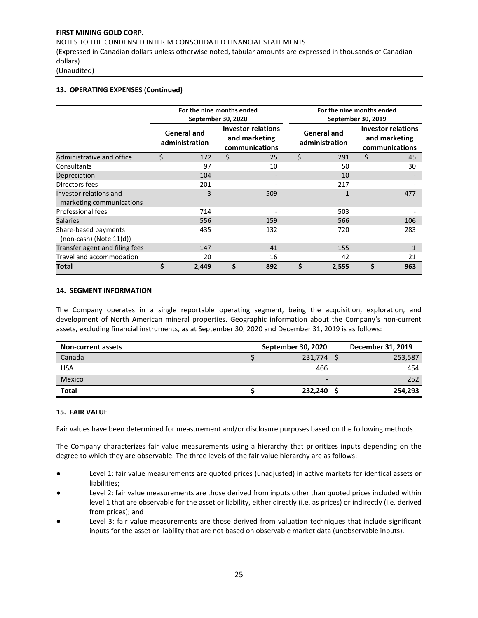NOTES TO THE CONDENSED INTERIM CONSOLIDATED FINANCIAL STATEMENTS

(Expressed in Canadian dollars unless otherwise noted, tabular amounts are expressed in thousands of Canadian dollars)

(Unaudited)

## **13. OPERATING EXPENSES (Continued)**

|                                                      |    | For the nine months ended            | September 30, 2020 |                                                              | For the nine months ended<br>September 30, 2019 |                                      |                                                              |     |  |  |  |
|------------------------------------------------------|----|--------------------------------------|--------------------|--------------------------------------------------------------|-------------------------------------------------|--------------------------------------|--------------------------------------------------------------|-----|--|--|--|
|                                                      |    | <b>General and</b><br>administration |                    | <b>Investor relations</b><br>and marketing<br>communications |                                                 | <b>General and</b><br>administration | <b>Investor relations</b><br>and marketing<br>communications |     |  |  |  |
| Administrative and office                            | Ś. | 172                                  | \$                 | 25                                                           | \$                                              | 291                                  | \$                                                           | 45  |  |  |  |
| Consultants                                          |    | 97                                   |                    | 10                                                           |                                                 | 50                                   |                                                              | 30  |  |  |  |
| Depreciation                                         |    | 104                                  |                    |                                                              |                                                 | 10                                   |                                                              |     |  |  |  |
| Directors fees                                       |    | 201                                  |                    |                                                              |                                                 | 217                                  |                                                              |     |  |  |  |
| Investor relations and<br>marketing communications   |    | 3                                    |                    | 509                                                          |                                                 | 1                                    |                                                              | 477 |  |  |  |
| Professional fees                                    |    | 714                                  |                    |                                                              |                                                 | 503                                  |                                                              |     |  |  |  |
| <b>Salaries</b>                                      |    | 556                                  |                    | 159                                                          |                                                 | 566                                  |                                                              | 106 |  |  |  |
| Share-based payments<br>$(non-cash)$ (Note $11(d)$ ) |    | 435                                  |                    | 132                                                          |                                                 | 720                                  |                                                              | 283 |  |  |  |
| Transfer agent and filing fees                       |    | 147                                  |                    | 41                                                           |                                                 | 155                                  |                                                              | 1   |  |  |  |
| Travel and accommodation                             |    | 20                                   |                    | 16                                                           |                                                 | 42                                   |                                                              | 21  |  |  |  |
| Total                                                | \$ | 2,449                                | Ś                  | 892                                                          | Ś                                               | 2,555                                | \$                                                           | 963 |  |  |  |

#### **14. SEGMENT INFORMATION**

The Company operates in a single reportable operating segment, being the acquisition, exploration, and development of North American mineral properties. Geographic information about the Company's non-current assets, excluding financial instruments, as at September 30, 2020 and December 31, 2019 is as follows:

| <b>Non-current assets</b> | September 30, 2020       | December 31, 2019 |
|---------------------------|--------------------------|-------------------|
| Canada                    | 231,774                  | 253,587           |
| USA                       | 466                      | 454               |
| Mexico                    | $\overline{\phantom{0}}$ | 252               |
| <b>Total</b>              | 232,240                  | 254,293           |

## **15. FAIR VALUE**

Fair values have been determined for measurement and/or disclosure purposes based on the following methods.

The Company characterizes fair value measurements using a hierarchy that prioritizes inputs depending on the degree to which they are observable. The three levels of the fair value hierarchy are as follows:

- Level 1: fair value measurements are quoted prices (unadjusted) in active markets for identical assets or liabilities;
- Level 2: fair value measurements are those derived from inputs other than quoted prices included within level 1 that are observable for the asset or liability, either directly (i.e. as prices) or indirectly (i.e. derived from prices); and
- Level 3: fair value measurements are those derived from valuation techniques that include significant inputs for the asset or liability that are not based on observable market data (unobservable inputs).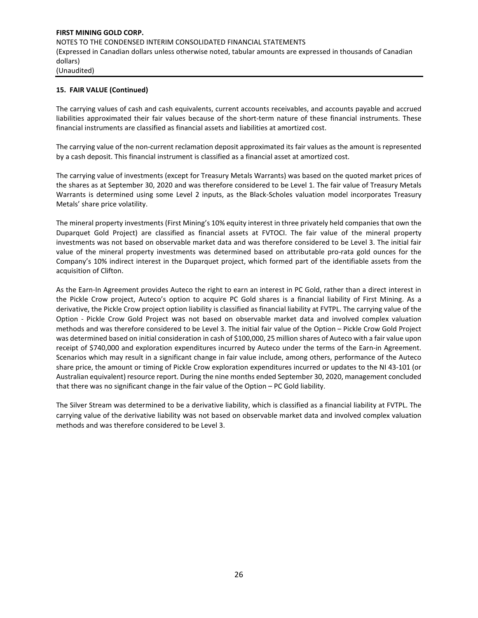## **15. FAIR VALUE (Continued)**

The carrying values of cash and cash equivalents, current accounts receivables, and accounts payable and accrued liabilities approximated their fair values because of the short-term nature of these financial instruments. These financial instruments are classified as financial assets and liabilities at amortized cost.

The carrying value of the non-current reclamation deposit approximated its fair values as the amount is represented by a cash deposit. This financial instrument is classified as a financial asset at amortized cost.

The carrying value of investments (except for Treasury Metals Warrants) was based on the quoted market prices of the shares as at September 30, 2020 and was therefore considered to be Level 1. The fair value of Treasury Metals Warrants is determined using some Level 2 inputs, as the Black-Scholes valuation model incorporates Treasury Metals' share price volatility.

The mineral property investments (First Mining's 10% equity interest in three privately held companies that own the Duparquet Gold Project) are classified as financial assets at FVTOCI. The fair value of the mineral property investments was not based on observable market data and was therefore considered to be Level 3. The initial fair value of the mineral property investments was determined based on attributable pro-rata gold ounces for the Company's 10% indirect interest in the Duparquet project, which formed part of the identifiable assets from the acquisition of Clifton.

As the Earn-In Agreement provides Auteco the right to earn an interest in PC Gold, rather than a direct interest in the Pickle Crow project, Auteco's option to acquire PC Gold shares is a financial liability of First Mining. As a derivative, the Pickle Crow project option liability is classified as financial liability at FVTPL. The carrying value of the Option - Pickle Crow Gold Project was not based on observable market data and involved complex valuation methods and was therefore considered to be Level 3. The initial fair value of the Option – Pickle Crow Gold Project was determined based on initial consideration in cash of \$100,000, 25 million shares of Auteco with a fair value upon receipt of \$740,000 and exploration expenditures incurred by Auteco under the terms of the Earn-in Agreement. Scenarios which may result in a significant change in fair value include, among others, performance of the Auteco share price, the amount or timing of Pickle Crow exploration expenditures incurred or updates to the NI 43-101 (or Australian equivalent) resource report. During the nine months ended September 30, 2020, management concluded that there was no significant change in the fair value of the Option – PC Gold liability.

The Silver Stream was determined to be a derivative liability, which is classified as a financial liability at FVTPL. The carrying value of the derivative liability was not based on observable market data and involved complex valuation methods and was therefore considered to be Level 3.